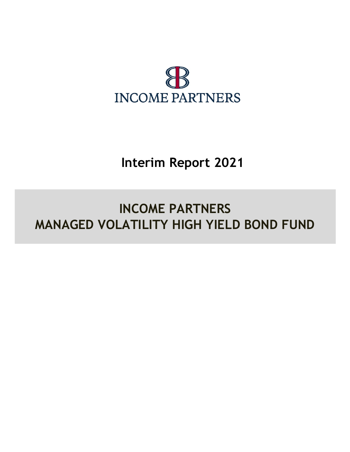

# Interim Report 2021

# INCOME PARTNERS MANAGED VOLATILITY HIGH YIELD BOND FUND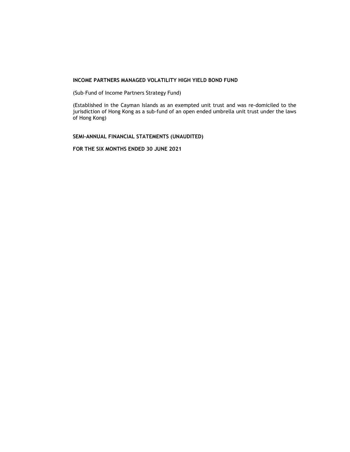(Sub–Fund of Income Partners Strategy Fund)

(Established in the Cayman Islands as an exempted unit trust and was re-domiciled to the jurisdiction of Hong Kong as a sub-fund of an open ended umbrella unit trust under the laws of Hong Kong)

SEMI-ANNUAL FINANCIAL STATEMENTS (UNAUDITED)

FOR THE SIX MONTHS ENDED 30 JUNE 2021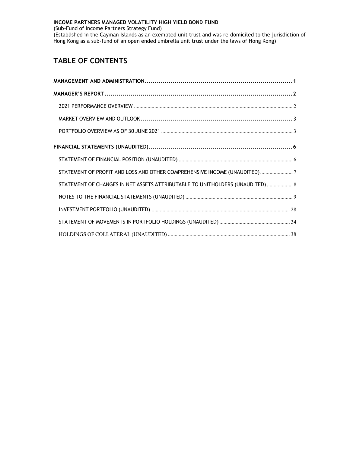(Sub-Fund of Income Partners Strategy Fund)

(Established in the Cayman Islands as an exempted unit trust and was re-domiciled to the jurisdiction of Hong Kong as a sub-fund of an open ended umbrella unit trust under the laws of Hong Kong)

# TABLE OF CONTENTS

| STATEMENT OF PROFIT AND LOSS AND OTHER COMPREHENSIVE INCOME (UNAUDITED)7      |
|-------------------------------------------------------------------------------|
| STATEMENT OF CHANGES IN NET ASSETS ATTRIBUTABLE TO UNITHOLDERS (UNAUDITED)  8 |
|                                                                               |
|                                                                               |
|                                                                               |
|                                                                               |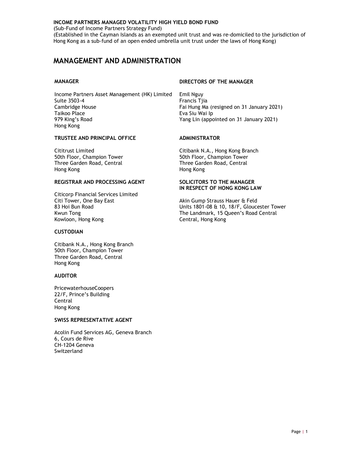(Sub-Fund of Income Partners Strategy Fund)

(Established in the Cayman Islands as an exempted unit trust and was re-domiciled to the jurisdiction of Hong Kong as a sub-fund of an open ended umbrella unit trust under the laws of Hong Kong)

# MANAGEMENT AND ADMINISTRATION

Income Partners Asset Management (HK) Limited Emil Nguy Suite 3503-4 Francis Tjia Cambridge House Fai Hung Ma (resigned on 31 January 2021)<br>Taikoo Place Fai Hung Ma (Ferang Eva Siu Wai Ip 979 King's Road Yang Lin (appointed on 31 January 2021) Hong Kong

# TRUSTEE AND PRINCIPAL OFFICE ADMINISTRATOR

50th Floor, Champion Tower 50th Floor, Champion Tower Three Garden Road, Central Three Garden Road, Central Three Garden Road, Central Hong Kong

# REGISTRAR AND PROCESSING AGENT SOLICITORS TO THE MANAGER

Citicorp Financial Services Limited Citi Tower, One Bay East **Akin Gump Strauss Hauer & Feld** Akin Gump Strauss Hauer & Feld<br>A Units 1801-08 & 10. 18/F. Glouce Kowloon, Hong Kong Central, Hong Kong

# **CUSTODIAN**

Citibank N.A., Hong Kong Branch 50th Floor, Champion Tower Three Garden Road, Central Hong Kong

# AUDITOR

PricewaterhouseCoopers 22/F, Prince's Building Central Hong Kong

# SWISS REPRESENTATIVE AGENT

Acolin Fund Services AG, Geneva Branch 6, Cours de Rive CH-1204 Geneva Switzerland

# MANAGER DIRECTORS OF THE MANAGER

Eva Siu Wai Ip

Cititrust Limited Citibank N.A., Hong Kong Branch Hong Kong

# IN RESPECT OF HONG KONG LAW

83 Hoi Bun Road **Bunder Strates 1801-08 & 10, 18/F, Gloucester Tower** Units 1801-08 & 10, 18/F, Gloucester Tower<br>The Landmark, 15 Queen's Road Central The Landmark, 15 Queen's Road Central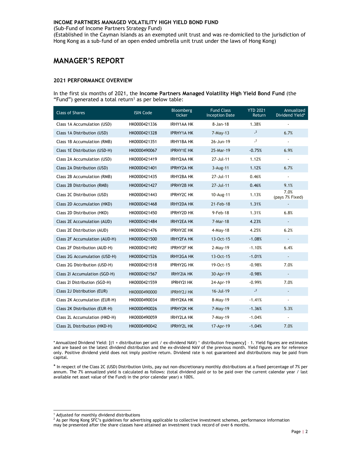(Sub-Fund of Income Partners Strategy Fund)

(Established in the Cayman Islands as an exempted unit trust and was re-domiciled to the jurisdiction of Hong Kong as a sub-fund of an open ended umbrella unit trust under the laws of Hong Kong)

# MANAGER'S REPORT

#### 2021 PERFORMANCE OVERVIEW

In the first six months of 2021, the Income Partners Managed Volatility High Yield Bond Fund (the "Fund") generated a total return<sup>1</sup> as per below table:

| <b>Class of Shares</b>        | <b>ISIN Code</b> | Bloomberg<br>ticker | <b>Fund Class</b><br><b>Inception Date</b> | <b>YTD 2021</b><br>Return | Annualized<br>Dividend Yield* |
|-------------------------------|------------------|---------------------|--------------------------------------------|---------------------------|-------------------------------|
| Class 1A Accumulation (USD)   | HK0000421336     | <b>IRHY1AA HK</b>   | 8-Jan-18                                   | 1.38%                     |                               |
| Class 1A Distribution (USD)   | HK0000421328     | <b>IPRHY1A HK</b>   | $7-May-13$                                 | $-2$                      | 6.7%                          |
| Class 1B Accumulation (RMB)   | HK0000421351     | IRHY1BA HK          | 26-Jun-19                                  | $\overline{2}$            |                               |
| Class 1E Distribution (USD-H) | HK0000490067     | <b>IPRHY1E HK</b>   | 25-Mar-19                                  | $-0.75%$                  | 6.9%                          |
| Class 2A Accumulation (USD)   | HK0000421419     | <b>IRHY2AA HK</b>   | 27-Jul-11                                  | 1.12%                     | $\overline{\phantom{a}}$      |
| Class 2A Distribution (USD)   | HK0000421401     | <b>IPRHY2A HK</b>   | $3-Aug-11$                                 | 1.12%                     | 6.7%                          |
| Class 2B Accumulation (RMB)   | HK0000421435     | <b>IRHY2BA HK</b>   | 27-Jul-11                                  | 0.46%                     | $\blacksquare$                |
| Class 2B Distribution (RMB)   | HK0000421427     | <b>IPRHY2B HK</b>   | 27-Jul-11                                  | 0.46%                     | 9.1%                          |
| Class 2C Distribution (USD)   | HK0000421443     | <b>IPRHY2C HK</b>   | 10-Aug-11                                  | 1.13%                     | 7.0%<br>(pays 7% Fixed)       |
| Class 2D Accumulation (HKD)   | HK0000421468     | <b>IRHY2DA HK</b>   | 21-Feb-18                                  | 1.31%                     |                               |
| Class 2D Distribution (HKD)   | HK0000421450     | <b>IPRHY2D HK</b>   | 9-Feb-18                                   | 1.31%                     | 6.8%                          |
| Class 2E Accumulation (AUD)   | HK0000421484     | <b>IRHY2EA HK</b>   | 7-Mar-18                                   | 4.23%                     | $\blacksquare$                |
| Class 2E Distribution (AUD)   | HK0000421476     | <b>IPRHY2E HK</b>   | $4$ -May-18                                | 4.25%                     | 6.2%                          |
| Class 2F Accumulation (AUD-H) | HK0000421500     | <b>IRHY2FA HK</b>   | 13-Oct-15                                  | $-1.08%$                  | $\overline{\phantom{a}}$      |
| Class 2F Distribution (AUD-H) | HK0000421492     | <b>IPRHY2F HK</b>   | $2-May-19$                                 | $-1.10%$                  | 6.4%                          |
| Class 2G Accumulation (USD-H) | HK0000421526     | <b>IRHY2GA HK</b>   | 13-Oct-15                                  | $-1.01%$                  | $\overline{\phantom{a}}$      |
| Class 2G Distribution (USD-H) | HK0000421518     | <b>IPRHY2G HK</b>   | 19-Oct-15                                  | $-0.98%$                  | 7.0%                          |
| Class 2I Accumulation (SGD-H) | HK0000421567     | <b>IRHY2IA HK</b>   | 30-Apr-19                                  | $-0.98%$                  | $\overline{\phantom{a}}$      |
| Class 21 Distribution (SGD-H) | HK0000421559     | <b>IPRHY2I HK</b>   | 24-Apr-19                                  | $-0.99%$                  | 7.0%                          |
| Class 2J Distribution (EUR)   | HK0000490000     | <b>IPRHY2J HK</b>   | 16-Jul-19                                  | $-2$                      |                               |
| Class 2K Accumulation (EUR-H) | HK0000490034     | <b>IRHY2KA HK</b>   | 8-May-19                                   | $-1.41%$                  | $\overline{\phantom{a}}$      |
| Class 2K Distribution (EUR-H) | HK0000490026     | <b>IPRHY2K HK</b>   | $7-May-19$                                 | $-1.36%$                  | 5.3%                          |
| Class 2L Accumulation (HKD-H) | HK0000490059     | <b>IRHY2LA HK</b>   | 7-May-19                                   | $-1.04%$                  | $\overline{\phantom{a}}$      |
| Class 2L Distribution (HKD-H) | HK0000490042     | <b>IPRHY2L HK</b>   | 17-Apr-19                                  | $-1.04%$                  | 7.0%                          |

\* Annualized Dividend Yield: [(1 + distribution per unit / ex-dividend NAV) ^ distribution frequency] – 1. Yield figures are estimates and are based on the latest dividend distribution and the ex-dividend NAV of the previous month. Yield figures are for reference only. Positive dividend yield does not imply positive return. Dividend rate is not guaranteed and distributions may be paid from capital.

\* In respect of the Class 2C (USD) Distribution Units, pay out non-discretionary monthly distributions at a fixed percentage of 7% per annum. The 7% annualized yield is calculated as follows: (total dividend paid or to be paid over the current calendar year / last available net asset value of the Fund) in the prior calendar year) x 100%.

 1 Adjusted for monthly dividend distributions

<sup>&</sup>lt;sup>2</sup> As per Hong Kong SFC's guidelines for advertising applicable to collective investment schemes, performance information may be presented after the share classes have attained an investment track record of over 6 months.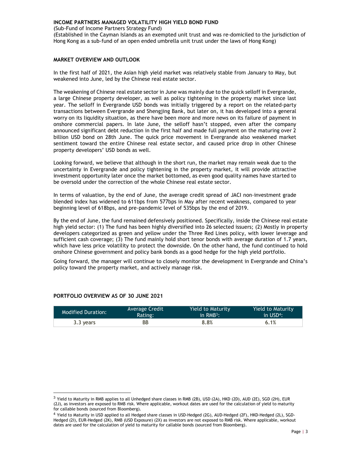(Sub-Fund of Income Partners Strategy Fund)

(Established in the Cayman Islands as an exempted unit trust and was re-domiciled to the jurisdiction of Hong Kong as a sub-fund of an open ended umbrella unit trust under the laws of Hong Kong)

# MARKET OVERVIEW AND OUTLOOK

In the first half of 2021, the Asian high yield market was relatively stable from January to May, but weakened into June, led by the Chinese real estate sector.

The weakening of Chinese real estate sector in June was mainly due to the quick selloff in Evergrande, a large Chinese property developer, as well as policy tightening in the property market since last year. The selloff in Evergrande USD bonds was initially triggered by a report on the related-party transactions between Evergrande and Shengjing Bank, but later on, it has developed into a general worry on its liquidity situation, as there have been more and more news on its failure of payment in onshore commercial papers. In late June, the selloff hasn't stopped, even after the company announced significant debt reduction in the first half and made full payment on the maturing over 2 billion USD bond on 28th June. The quick price movement in Evergrande also weakened market sentiment toward the entire Chinese real estate sector, and caused price drop in other Chinese property developers' USD bonds as well.

Looking forward, we believe that although in the short run, the market may remain weak due to the uncertainty in Evergrande and policy tightening in the property market, it will provide attractive investment opportunity later once the market bottomed, as even good quality names have started to be oversold under the correction of the whole Chinese real estate sector.

In terms of valuation, by the end of June, the average credit spread of JACI non-investment grade blended index has widened to 611bps from 577bps in May after recent weakness, compared to year beginning level of 618bps, and pre-pandemic level of 535bps by the end of 2019.

By the end of June, the fund remained defensively positioned. Specifically, inside the Chinese real estate high yield sector: (1) The fund has been highly diversified into 26 selected issuers; (2) Mostly in property developers categorized as green and yellow under the Three Red Lines policy, with lower leverage and sufficient cash coverage; (3) The fund mainly hold short tenor bonds with average duration of 1.7 years, which have less price volatility to protect the downside. On the other hand, the fund continued to hold onshore Chinese government and policy bank bonds as a good hedge for the high yield portfolio.

Going forward, the manager will continue to closely monitor the development in Evergrande and China's policy toward the property market, and actively manage risk.

| <b>Modified Duration:</b> | Average Credit | <b>Yield to Maturity</b> | Yield to Maturity        |
|---------------------------|----------------|--------------------------|--------------------------|
|                           | Rating:        | in $RMB3$ :              | $\ln$ USD <sup>4</sup> : |
| 3.3 years                 | ВB             | 8.8%                     | 6.1%                     |

# PORTFOLIO OVERVIEW AS OF 30 JUNE 2021

-

<sup>&</sup>lt;sup>3</sup> Yield to Maturity in RMB applies to all Unhedged share classes in RMB (2B), USD (2A), HKD (2D), AUD (2E), SGD (2H), EUR (2J), as investors are exposed to RMB risk. Where applicable, workout dates are used for the calculation of yield to maturity for callable bonds (sourced from Bloomberg).

<sup>4</sup> Yield to Maturity in USD applied to all Hedged share classes in USD-Hedged (2G), AUD-Hedged (2F), HKD-Hedged (2L), SGD-Hedged (2I), EUR-Hedged (2K), RMB (USD Exposure) (2X) as investors are not exposed to RMB risk. Where applicable, workout dates are used for the calculation of yield to maturity for callable bonds (sourced from Bloomberg).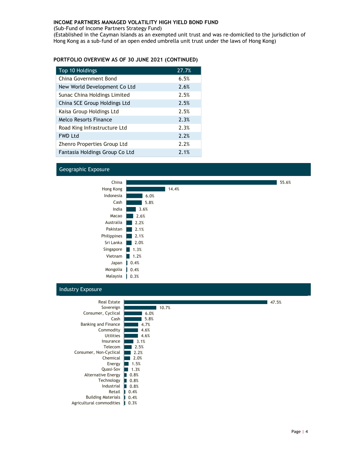(Sub-Fund of Income Partners Strategy Fund)

(Established in the Cayman Islands as an exempted unit trust and was re-domiciled to the jurisdiction of Hong Kong as a sub-fund of an open ended umbrella unit trust under the laws of Hong Kong)

# PORTFOLIO OVERVIEW AS OF 30 JUNE 2021 (CONTINUED)

| Top 10 Holdings                | 27.7% |
|--------------------------------|-------|
| China Government Bond          | 6.5%  |
| New World Development Co Ltd   | 2.6%  |
| Sunac China Holdings Limited   | 2.5%  |
| China SCE Group Holdings Ltd   | 2.5%  |
| Kaisa Group Holdings Ltd       | 2.5%  |
| Melco Resorts Finance          | 2.3%  |
| Road King Infrastructure Ltd   | 2.3%  |
| <b>FWD Ltd</b>                 | 2.2%  |
| Zhenro Properties Group Ltd    | 2.2%  |
| Fantasia Holdings Group Co Ltd | 2.1%  |

# Geographic Exposure



# Industry Exposure

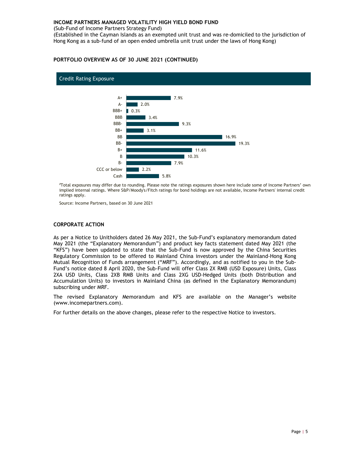(Sub-Fund of Income Partners Strategy Fund)

(Established in the Cayman Islands as an exempted unit trust and was re-domiciled to the jurisdiction of Hong Kong as a sub-fund of an open ended umbrella unit trust under the laws of Hong Kong)

# PORTFOLIO OVERVIEW AS OF 30 JUNE 2021 (CONTINUED)



#Total exposures may differ due to rounding. Please note the ratings exposures shown here include some of Income Partners' own implied internal ratings. Where S&P/Moody's/Fitch ratings for bond holdings are not available, Income Partners' internal credit ratings apply.

Source: Income Partners, based on 30 June 2021

# CORPORATE ACTION

As per a Notice to Unitholders dated 26 May 2021, the Sub-Fund's explanatory memorandum dated May 2021 (the "Explanatory Memorandum") and product key facts statement dated May 2021 (the "KFS") have been updated to state that the Sub-Fund is now approved by the China Securities Regulatory Commission to be offered to Mainland China investors under the Mainland-Hong Kong Mutual Recognition of Funds arrangement ("MRF"). Accordingly, and as notified to you in the Sub-Fund's notice dated 8 April 2020, the Sub-Fund will offer Class 2X RMB (USD Exposure) Units, Class 2XA USD Units, Class 2XB RMB Units and Class 2XG USD-Hedged Units (both Distribution and Accumulation Units) to investors in Mainland China (as defined in the Explanatory Memorandum) subscribing under MRF.

The revised Explanatory Memorandum and KFS are available on the Manager's website (www.incomepartners.com).

For further details on the above changes, please refer to the respective Notice to investors.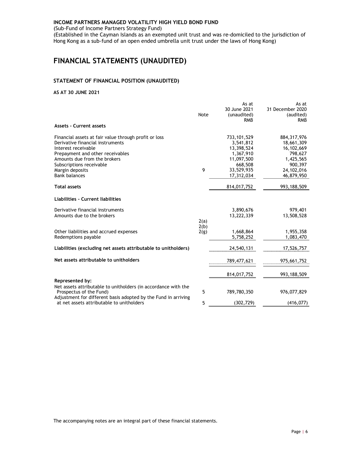(Sub-Fund of Income Partners Strategy Fund)

(Established in the Cayman Islands as an exempted unit trust and was re-domiciled to the jurisdiction of Hong Kong as a sub-fund of an open ended umbrella unit trust under the laws of Hong Kong)

# FINANCIAL STATEMENTS (UNAUDITED)

# STATEMENT OF FINANCIAL POSITION (UNAUDITED)

# AS AT 30 JUNE 2021

|                                                                                                                                                                                                                                                             | Note         | As at<br>30 June 2021<br>(unaudited)<br><b>RMB</b>                                                         | As at<br>31 December 2020<br>(audited)<br><b>RMB</b>                                                         |
|-------------------------------------------------------------------------------------------------------------------------------------------------------------------------------------------------------------------------------------------------------------|--------------|------------------------------------------------------------------------------------------------------------|--------------------------------------------------------------------------------------------------------------|
| <b>Assets - Current assets</b>                                                                                                                                                                                                                              |              |                                                                                                            |                                                                                                              |
| Financial assets at fair value through profit or loss<br>Derivative financial instruments<br>Interest receivable<br>Prepayment and other receivables<br>Amounts due from the brokers<br>Subscriptions receivable<br>Margin deposits<br><b>Bank balances</b> | 9            | 733, 101, 529<br>3,541,812<br>13,398,524<br>1,367,910<br>11,097,500<br>668,508<br>33,529,935<br>17,312,034 | 884, 317, 976<br>18,661,309<br>16, 102, 669<br>798,627<br>1,425,565<br>900,397<br>24, 102, 016<br>46,879,950 |
| <b>Total assets</b>                                                                                                                                                                                                                                         |              | 814,017,752                                                                                                | 993, 188, 509                                                                                                |
| Liabilities - Current liabilities                                                                                                                                                                                                                           |              |                                                                                                            |                                                                                                              |
| Derivative financial instruments<br>Amounts due to the brokers                                                                                                                                                                                              | 2(a)         | 3,890,676<br>13,222,339                                                                                    | 979,401<br>13,508,528                                                                                        |
| Other liabilities and accrued expenses<br>Redemptions payable                                                                                                                                                                                               | 2(b)<br>2(g) | 1,668,864<br>5,758,252                                                                                     | 1,955,358<br>1,083,470                                                                                       |
| Liabilities (excluding net assets attributable to unitholders)                                                                                                                                                                                              |              | 24,540,131                                                                                                 | 17,526,757                                                                                                   |
| Net assets attributable to unitholders                                                                                                                                                                                                                      |              | 789,477,621                                                                                                | 975,661,752                                                                                                  |
|                                                                                                                                                                                                                                                             |              | 814,017,752                                                                                                | 993, 188, 509                                                                                                |
| Represented by:<br>Net assets attributable to unitholders (in accordance with the<br>Prospectus of the Fund)                                                                                                                                                | 5            | 789,780,350                                                                                                | 976,077,829                                                                                                  |
| Adjustment for different basis adopted by the Fund in arriving<br>at net assets attributable to unitholders                                                                                                                                                 | 5            | (302, 729)                                                                                                 | (416, 077)                                                                                                   |

The accompanying notes are an integral part of these financial statements.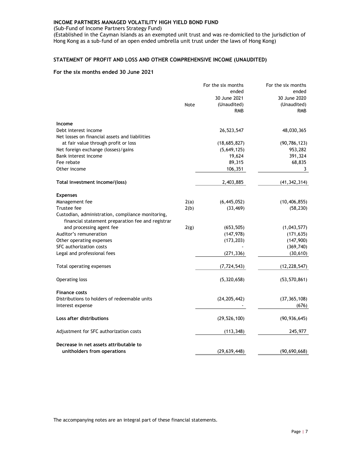(Sub-Fund of Income Partners Strategy Fund)

(Established in the Cayman Islands as an exempted unit trust and was re-domiciled to the jurisdiction of Hong Kong as a sub-fund of an open ended umbrella unit trust under the laws of Hong Kong)

# STATEMENT OF PROFIT AND LOSS AND OTHER COMPREHENSIVE INCOME (UNAUDITED)

# For the six months ended 30 June 2021

|                                                   |      | For the six months | For the six months |
|---------------------------------------------------|------|--------------------|--------------------|
|                                                   |      | ended              | ended              |
|                                                   |      | 30 June 2021       | 30 June 2020       |
|                                                   | Note | (Unaudited)        | (Unaudited)        |
|                                                   |      | <b>RMB</b>         | <b>RMB</b>         |
| Income                                            |      |                    |                    |
| Debt interest income                              |      | 26,523,547         | 48,030,365         |
| Net losses on financial assets and liabilities    |      |                    |                    |
| at fair value through profit or loss              |      | (18,685,827)       | (90, 786, 123)     |
| Net foreign exchange (losses)/gains               |      | (5,649,125)        | 953,282            |
| Bank interest income                              |      | 19,624             | 391,324            |
| Fee rebate                                        |      | 89,315             | 68,835             |
| Other income                                      |      | 106,351            | 3                  |
|                                                   |      |                    |                    |
| Total investment income/(loss)                    |      | 2,403,885          | (41, 342, 314)     |
| <b>Expenses</b>                                   |      |                    |                    |
| Management fee                                    | 2(a) | (6,445,052)        | (10, 406, 855)     |
| Trustee fee                                       | 2(b) | (33, 469)          | (58, 230)          |
| Custodian, administration, compliance monitoring, |      |                    |                    |
| financial statement preparation fee and registrar |      |                    |                    |
| and processing agent fee                          | 2(g) | (653, 505)         | (1,043,577)        |
| Auditor's remuneration                            |      | (147, 978)         | (171, 635)         |
| Other operating expenses                          |      | (173, 203)         | (147,900)          |
| SFC authorization costs                           |      |                    | (369, 740)         |
| Legal and professional fees                       |      | (271, 336)         | (30, 610)          |
|                                                   |      |                    |                    |
| Total operating expenses                          |      | (7, 724, 543)      | (12, 228, 547)     |
|                                                   |      |                    |                    |
| Operating loss                                    |      | (5,320,658)        | (53, 570, 861)     |
| <b>Finance costs</b>                              |      |                    |                    |
| Distributions to holders of redeemable units      |      | (24, 205, 442)     | (37, 365, 108)     |
| Interest expense                                  |      |                    | (676)              |
|                                                   |      |                    |                    |
| Loss after distributions                          |      | (29, 526, 100)     | (90, 936, 645)     |
|                                                   |      |                    |                    |
| Adjustment for SFC authorization costs            |      | (113, 348)         | 245,977            |
| Decrease in net assets attributable to            |      |                    |                    |
| unitholders from operations                       |      | (29, 639, 448)     | (90, 690, 668)     |

The accompanying notes are an integral part of these financial statements.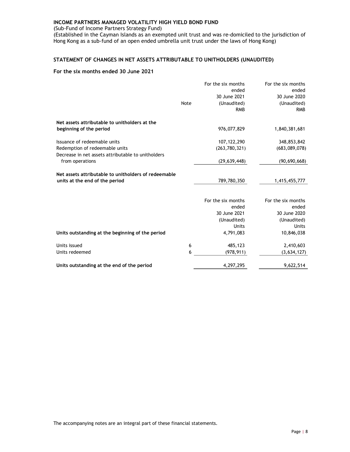(Sub-Fund of Income Partners Strategy Fund)

(Established in the Cayman Islands as an exempted unit trust and was re-domiciled to the jurisdiction of Hong Kong as a sub-fund of an open ended umbrella unit trust under the laws of Hong Kong)

# STATEMENT OF CHANGES IN NET ASSETS ATTRIBUTABLE TO UNITHOLDERS (UNAUDITED)

|                                                      |      | For the six months | For the six months |
|------------------------------------------------------|------|--------------------|--------------------|
|                                                      |      | ended              | ended              |
|                                                      |      | 30 June 2021       | 30 June 2020       |
|                                                      | Note | (Unaudited)        | (Unaudited)        |
|                                                      |      | <b>RMB</b>         | <b>RMB</b>         |
| Net assets attributable to unitholders at the        |      |                    |                    |
| beginning of the period                              |      | 976,077,829        | 1,840,381,681      |
| Issuance of redeemable units                         |      | 107, 122, 290      | 348,853,842        |
| Redemption of redeemable units                       |      | (263, 780, 321)    | (683,089,078)      |
| Decrease in net assets attributable to unitholders   |      |                    |                    |
| from operations                                      |      | (29, 639, 448)     | (90,690,668)       |
|                                                      |      |                    |                    |
| Net assets attributable to unitholders of redeemable |      |                    |                    |
| units at the end of the period                       |      | 789,780,350        | 1,415,455,777      |
|                                                      |      |                    |                    |
|                                                      |      | For the six months | For the six months |
|                                                      |      | ended              | ended              |
|                                                      |      | 30 June 2021       | 30 June 2020       |
|                                                      |      | (Unaudited)        | (Unaudited)        |
|                                                      |      | Units              | <b>Units</b>       |
| Units outstanding at the beginning of the period     |      | 4,791,083          | 10,846,038         |
| Units issued                                         | 6    | 485,123            | 2,410,603          |
| Units redeemed                                       | 6    | (978, 911)         | (3,634,127)        |
| Units outstanding at the end of the period           |      | 4,297,295          | 9,622,514          |
|                                                      |      |                    |                    |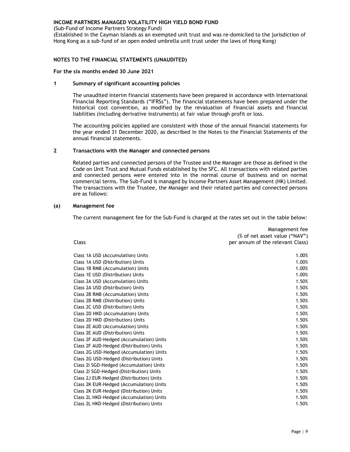(Sub-Fund of Income Partners Strategy Fund)

(Established in the Cayman Islands as an exempted unit trust and was re-domiciled to the jurisdiction of Hong Kong as a sub-fund of an open ended umbrella unit trust under the laws of Hong Kong)

# NOTES TO THE FINANCIAL STATEMENTS (UNAUDITED)

#### For the six months ended 30 June 2021

# 1 Summary of significant accounting policies

The unaudited interim financial statements have been prepared in accordance with International Financial Reporting Standards ("IFRSs"). The financial statements have been prepared under the historical cost convention, as modified by the revaluation of financial assets and financial liabilities (including derivative instruments) at fair value through profit or loss.

The accounting policies applied are consistent with those of the annual financial statements for the year ended 31 December 2020, as described in the Notes to the Financial Statements of the annual financial statements.

# 2 Transactions with the Manager and connected persons

Related parties and connected persons of the Trustee and the Manager are those as defined in the Code on Unit Trust and Mutual Funds established by the SFC. All transactions with related parties and connected persons were entered into in the normal course of business and on normal commercial terms. The Sub-Fund is managed by Income Partners Asset Management (HK) Limited. The transactions with the Trustee, the Manager and their related parties and connected persons are as follows:

# (a) Management fee

The current management fee for the Sub-Fund is charged at the rates set out in the table below:

|                                          | <i>management ree</i>            |
|------------------------------------------|----------------------------------|
|                                          | (% of net asset value ("NAV")    |
| Class                                    | per annum of the relevant Class) |
| Class 1A USD (Accumulation) Units        | 1.00%                            |
| Class 1A USD (Distribution) Units        | 1.00%                            |
| Class 1B RMB (Accumulation) Units        | 1.00%                            |
| Class 1E USD (Distribution) Units        | 1.00%                            |
| Class 2A USD (Accumulation) Units        | 1.50%                            |
| Class 2A USD (Distribution) Units        | 1.50%                            |
| Class 2B RMB (Accumulation) Units        | 1.50%                            |
| Class 2B RMB (Distribution) Units        | 1.50%                            |
| Class 2C USD (Distribution) Units        | 1.50%                            |
| Class 2D HKD (Accumulation) Units        | 1.50%                            |
| Class 2D HKD (Distribution) Units        | 1.50%                            |
| Class 2E AUD (Accumulation) Units        | 1.50%                            |
| Class 2E AUD (Distribution) Units        | 1.50%                            |
| Class 2F AUD-Hedged (Accumulation) Units | 1.50%                            |
| Class 2F AUD-Hedged (Distribution) Units | 1.50%                            |
| Class 2G USD-Hedged (Accumulation) Units | 1.50%                            |
| Class 2G USD-Hedged (Distribution) Units | 1.50%                            |
| Class 21 SGD-Hedged (Accumulation) Units | 1.50%                            |
| Class 2I SGD-Hedged (Distribution) Units | 1.50%                            |
| Class 2J EUR-Hedged (Distribution) Units | 1.50%                            |
| Class 2K EUR-Hedged (Accumulation) Units | 1.50%                            |
| Class 2K EUR-Hedged (Distribution) Units | 1.50%                            |
| Class 2L HKD-Hedged (Accumulation) Units | 1.50%                            |
| Class 2L HKD-Hedged (Distribution) Units | 1.50%                            |
|                                          |                                  |

Management fee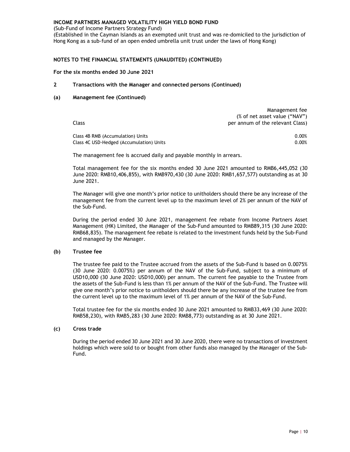(Sub-Fund of Income Partners Strategy Fund)

(Established in the Cayman Islands as an exempted unit trust and was re-domiciled to the jurisdiction of Hong Kong as a sub-fund of an open ended umbrella unit trust under the laws of Hong Kong)

# NOTES TO THE FINANCIAL STATEMENTS (UNAUDITED) (CONTINUED)

#### For the six months ended 30 June 2021

# 2 Transactions with the Manager and connected persons (Continued)

# (a) Management fee (Continued)

Class Management fee (% of net asset value ("NAV") per annum of the relevant Class) Class 4B RMB (Accumulation) Units 0.00%

Class 4C USD-Hedged (Accumulation) Units 0.00%

The management fee is accrued daily and payable monthly in arrears.

Total management fee for the six months ended 30 June 2021 amounted to RMB6,445,052 (30 June 2020: RMB10,406,855), with RMB970,430 (30 June 2020: RMB1,657,577) outstanding as at 30 June 2021.

The Manager will give one month's prior notice to unitholders should there be any increase of the management fee from the current level up to the maximum level of 2% per annum of the NAV of the Sub-Fund.

During the period ended 30 June 2021, management fee rebate from Income Partners Asset Management (HK) Limited, the Manager of the Sub-Fund amounted to RMB89,315 (30 June 2020: RMB68,835). The management fee rebate is related to the investment funds held by the Sub-Fund and managed by the Manager.

#### (b) Trustee fee

The trustee fee paid to the Trustee accrued from the assets of the Sub-Fund is based on 0.0075% (30 June 2020: 0.0075%) per annum of the NAV of the Sub-Fund, subject to a minimum of USD10,000 (30 June 2020: USD10,000) per annum. The current fee payable to the Trustee from the assets of the Sub-Fund is less than 1% per annum of the NAV of the Sub-Fund. The Trustee will give one month's prior notice to unitholders should there be any increase of the trustee fee from the current level up to the maximum level of 1% per annum of the NAV of the Sub-Fund.

Total trustee fee for the six months ended 30 June 2021 amounted to RMB33,469 (30 June 2020: RMB58,230), with RMB5,283 (30 June 2020: RMB8,773) outstanding as at 30 June 2021.

#### (c) Cross trade

During the period ended 30 June 2021 and 30 June 2020, there were no transactions of investment holdings which were sold to or bought from other funds also managed by the Manager of the Sub-Fund.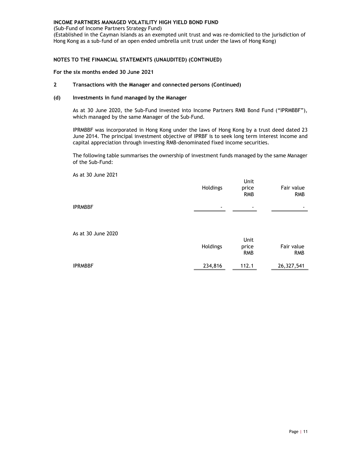(Sub-Fund of Income Partners Strategy Fund)

(Established in the Cayman Islands as an exempted unit trust and was re-domiciled to the jurisdiction of Hong Kong as a sub-fund of an open ended umbrella unit trust under the laws of Hong Kong)

# NOTES TO THE FINANCIAL STATEMENTS (UNAUDITED) (CONTINUED)

#### For the six months ended 30 June 2021

# 2 Transactions with the Manager and connected persons (Continued)

# (d) Investments in fund managed by the Manager

As at 30 June 2020, the Sub-Fund invested into Income Partners RMB Bond Fund ("IPRMBBF"), which managed by the same Manager of the Sub-Fund.

IPRMBBF was incorporated in Hong Kong under the laws of Hong Kong by a trust deed dated 23 June 2014. The principal investment objective of IPRBF is to seek long term interest income and capital appreciation through investing RMB-denominated fixed income securities.

The following table summarises the ownership of investment funds managed by the same Manager of the Sub-Fund:

|                    | Holdings | Unit<br>price<br><b>RMB</b> | Fair value<br><b>RMB</b> |
|--------------------|----------|-----------------------------|--------------------------|
| <b>IPRMBBF</b>     | ۰        |                             |                          |
| As at 30 June 2020 | Holdings | Unit<br>price<br><b>RMB</b> | Fair value<br><b>RMB</b> |
| <b>IPRMBBF</b>     | 234,816  | 112.1                       | 26,327,541               |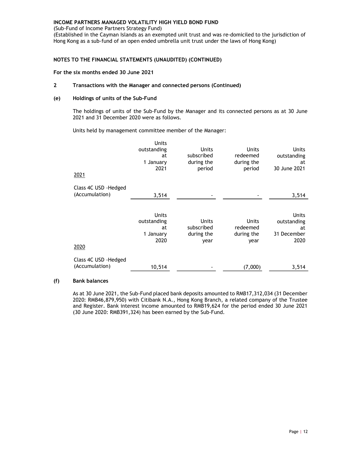(Sub-Fund of Income Partners Strategy Fund)

(Established in the Cayman Islands as an exempted unit trust and was re-domiciled to the jurisdiction of Hong Kong as a sub-fund of an open ended umbrella unit trust under the laws of Hong Kong)

# NOTES TO THE FINANCIAL STATEMENTS (UNAUDITED) (CONTINUED)

#### For the six months ended 30 June 2021

## 2 Transactions with the Manager and connected persons (Continued)

#### (e) Holdings of units of the Sub-Fund

The holdings of units of the Sub-Fund by the Manager and its connected persons as at 30 June 2021 and 31 December 2020 were as follows.

Units held by management committee member of the Manager:

| 2021                                    | Units<br>outstanding<br>at<br>1 January<br>2021 | <b>Units</b><br>subscribed<br>during the<br>period | <b>Units</b><br>redeemed<br>during the<br>period | Units<br>outstanding<br>at<br>30 June 2021        |
|-----------------------------------------|-------------------------------------------------|----------------------------------------------------|--------------------------------------------------|---------------------------------------------------|
| Class 4C USD - Hedged<br>(Accumulation) | 3,514                                           |                                                    |                                                  | 3,514                                             |
| 2020                                    | Units<br>outstanding<br>at<br>1 January<br>2020 | <b>Units</b><br>subscribed<br>during the<br>year   | <b>Units</b><br>redeemed<br>during the<br>year   | Units<br>outstanding<br>at<br>31 December<br>2020 |
| Class 4C USD - Hedged<br>(Accumulation) | 10,514                                          |                                                    | (7,000)                                          | 3,514                                             |

# (f) Bank balances

As at 30 June 2021, the Sub-Fund placed bank deposits amounted to RMB17,312,034 (31 December 2020: RMB46,879,950) with Citibank N.A., Hong Kong Branch, a related company of the Trustee and Register. Bank interest income amounted to RMB19,624 for the period ended 30 June 2021 (30 June 2020: RMB391,324) has been earned by the Sub-Fund.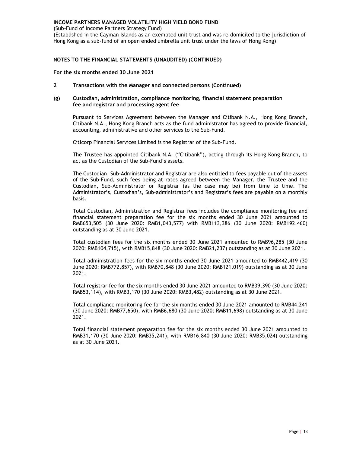(Sub-Fund of Income Partners Strategy Fund)

(Established in the Cayman Islands as an exempted unit trust and was re-domiciled to the jurisdiction of Hong Kong as a sub-fund of an open ended umbrella unit trust under the laws of Hong Kong)

# NOTES TO THE FINANCIAL STATEMENTS (UNAUDITED) (CONTINUED)

For the six months ended 30 June 2021

2 Transactions with the Manager and connected persons (Continued)

#### (g) Custodian, administration, compliance monitoring, financial statement preparation fee and registrar and processing agent fee

Pursuant to Services Agreement between the Manager and Citibank N.A., Hong Kong Branch, Citibank N.A., Hong Kong Branch acts as the fund administrator has agreed to provide financial, accounting, administrative and other services to the Sub-Fund.

Citicorp Financial Services Limited is the Registrar of the Sub-Fund.

The Trustee has appointed Citibank N.A. ("Citibank"), acting through its Hong Kong Branch, to act as the Custodian of the Sub-Fund's assets.

The Custodian, Sub-Administrator and Registrar are also entitled to fees payable out of the assets of the Sub-Fund, such fees being at rates agreed between the Manager, the Trustee and the Custodian, Sub-Administrator or Registrar (as the case may be) from time to time. The Administrator's, Custodian's, Sub-administrator's and Registrar's fees are payable on a monthly basis.

Total Custodian, Administration and Registrar fees includes the compliance monitoring fee and financial statement preparation fee for the six months ended 30 June 2021 amounted to RMB653,505 (30 June 2020: RMB1,043,577) with RMB113,386 (30 June 2020: RMB192,460) outstanding as at 30 June 2021.

Total custodian fees for the six months ended 30 June 2021 amounted to RMB96,285 (30 June 2020: RMB104,715), with RMB15,848 (30 June 2020: RMB21,237) outstanding as at 30 June 2021.

Total administration fees for the six months ended 30 June 2021 amounted to RMB442,419 (30 June 2020: RMB772,857), with RMB70,848 (30 June 2020: RMB121,019) outstanding as at 30 June 2021.

Total registrar fee for the six months ended 30 June 2021 amounted to RMB39,390 (30 June 2020: RMB53,114), with RMB3,170 (30 June 2020: RMB3,482) outstanding as at 30 June 2021.

Total compliance monitoring fee for the six months ended 30 June 2021 amounted to RMB44,241 (30 June 2020: RMB77,650), with RMB6,680 (30 June 2020: RMB11,698) outstanding as at 30 June 2021.

Total financial statement preparation fee for the six months ended 30 June 2021 amounted to RMB31,170 (30 June 2020: RMB35,241), with RMB16,840 (30 June 2020: RMB35,024) outstanding as at 30 June 2021.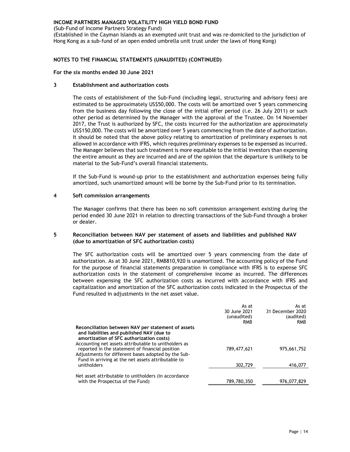(Sub-Fund of Income Partners Strategy Fund)

(Established in the Cayman Islands as an exempted unit trust and was re-domiciled to the jurisdiction of Hong Kong as a sub-fund of an open ended umbrella unit trust under the laws of Hong Kong)

# NOTES TO THE FINANCIAL STATEMENTS (UNAUDITED) (CONTINUED)

# For the six months ended 30 June 2021

# 3 Establishment and authorization costs

The costs of establishment of the Sub-Fund (including legal, structuring and advisory fees) are estimated to be approximately US\$50,000. The costs will be amortized over 5 years commencing from the business day following the close of the initial offer period (i.e. 26 July 2011) or such other period as determined by the Manager with the approval of the Trustee. On 14 November 2017, the Trust is authorized by SFC, the costs incurred for the authorization are approximately US\$150,000. The costs will be amortized over 5 years commencing from the date of authorization. It should be noted that the above policy relating to amortization of preliminary expenses is not allowed in accordance with IFRS, which requires preliminary expenses to be expensed as incurred. The Manager believes that such treatment is more equitable to the initial investors than expensing the entire amount as they are incurred and are of the opinion that the departure is unlikely to be material to the Sub-Fund's overall financial statements.

If the Sub-Fund is wound-up prior to the establishment and authorization expenses being fully amortized, such unamortized amount will be borne by the Sub-Fund prior to its termination.

#### 4 Soft commission arrangements

The Manager confirms that there has been no soft commission arrangement existing during the period ended 30 June 2021 in relation to directing transactions of the Sub-Fund through a broker or dealer.

# 5 Reconciliation between NAV per statement of assets and liabilities and published NAV (due to amortization of SFC authorization costs)

The SFC authorization costs will be amortized over 5 years commencing from the date of authorization. As at 30 June 2021, RMB810,920 is unamortized. The accounting policy of the Fund for the purpose of financial statements preparation in compliance with IFRS is to expense SFC authorization costs in the statement of comprehensive income as incurred. The differences between expensing the SFC authorization costs as incurred with accordance with IFRS and capitalization and amortization of the SFC authorization costs indicated in the Prospectus of the Fund resulted in adjustments in the net asset value.

|                                                                                                                                                                                                                      | As at<br>30 June 2021<br>(unaudited) | As at<br>31 December 2020<br>(audited) |
|----------------------------------------------------------------------------------------------------------------------------------------------------------------------------------------------------------------------|--------------------------------------|----------------------------------------|
| Reconciliation between NAV per statement of assets<br>and liabilities and published NAV (due to<br>amortization of SFC authorization costs)                                                                          | <b>RMB</b>                           | <b>RMB</b>                             |
| Accounting net assets attributable to unitholders as<br>reported in the statement of financial position<br>Adjustments for different bases adopted by the Sub-<br>Fund in arriving at the net assets attributable to | 789,477,621                          | 975,661,752                            |
| unitholders                                                                                                                                                                                                          | 302,729                              | 416,077                                |
| Net asset attributable to unitholders (in accordance<br>with the Prospectus of the Fund)                                                                                                                             | 789,780,350                          | 976,077,829                            |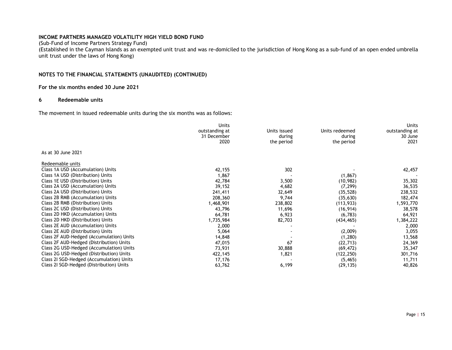(Sub-Fund of Income Partners Strategy Fund)

(Established in the Cayman Islands as an exempted unit trust and was re-domiciled to the jurisdiction of Hong Kong as a sub-fund of an open ended umbrella unit trust under the laws of Hong Kong)

# NOTES TO THE FINANCIAL STATEMENTS (UNAUDITED) (CONTINUED)

# For the six months ended 30 June 2021

#### 6 Redeemable units

The movement in issued redeemable units during the six months was as follows:

|                                          | Units<br>outstanding at<br>31 December | Units issued<br>during | Units redeemed<br>during | Units<br>outstanding at<br>30 June |
|------------------------------------------|----------------------------------------|------------------------|--------------------------|------------------------------------|
|                                          | 2020                                   | the period             | the period               | 2021                               |
| As at 30 June 2021                       |                                        |                        |                          |                                    |
| Redeemable units                         |                                        |                        |                          |                                    |
| Class 1A USD (Accumulation) Units        | 42,155                                 | 302                    |                          | 42,457                             |
| Class 1A USD (Distribution) Units        | 1,867                                  |                        | (1, 867)                 |                                    |
| Class 1E USD (Distribution) Units        | 42,784                                 | 3,500                  | (10, 982)                | 35,302                             |
| Class 2A USD (Accumulation) Units        | 39,152                                 | 4,682                  | (7, 299)                 | 36,535                             |
| Class 2A USD (Distribution) Units        | 241,411                                | 32,649                 | (35, 528)                | 238,532                            |
| Class 2B RMB (Accumulation) Units        | 208,360                                | 9,744                  | (35, 630)                | 182,474                            |
| Class 2B RMB (Distribution) Units        | 1,468,901                              | 238,802                | (113, 933)               | 1,593,770                          |
| Class 2C USD (Distribution) Units        | 43,796                                 | 11,696                 | (16, 914)                | 38,578                             |
| Class 2D HKD (Accumulation) Units        | 64,781                                 | 6,923                  | (6, 783)                 | 64,921                             |
| Class 2D HKD (Distribution) Units        | 1,735,984                              | 82,703                 | (434, 465)               | 1,384,222                          |
| Class 2E AUD (Accumulation) Units        | 2,000                                  |                        |                          | 2,000                              |
| Class 2E AUD (Distribution) Units        | 5,064                                  |                        | (2,009)                  | 3,055                              |
| Class 2F AUD-Hedged (Accumulation) Units | 14,848                                 |                        | (1,280)                  | 13,568                             |
| Class 2F AUD-Hedged (Distribution) Units | 47,015                                 | 67                     | (22, 713)                | 24,369                             |
| Class 2G USD-Hedged (Accumulation) Units | 73,931                                 | 30,888                 | (69, 472)                | 35,347                             |
| Class 2G USD-Hedged (Distribution) Units | 422,145                                | 1,821                  | (122, 250)               | 301,716                            |
| Class 21 SGD-Hedged (Accumulation) Units | 17,176                                 |                        | (5, 465)                 | 11,711                             |
| Class 21 SGD-Hedged (Distribution) Units | 63,762                                 | 6,199                  | (29, 135)                | 40,826                             |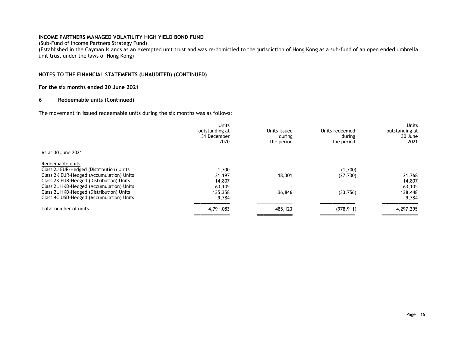(Sub-Fund of Income Partners Strategy Fund)

(Established in the Cayman Islands as an exempted unit trust and was re-domiciled to the jurisdiction of Hong Kong as a sub-fund of an open ended umbrella unit trust under the laws of Hong Kong)

# NOTES TO THE FINANCIAL STATEMENTS (UNAUDITED) (CONTINUED)

# For the six months ended 30 June 2021

### 6 Redeemable units (Continued)

The movement in issued redeemable units during the six months was as follows:

|                                          | Units<br>outstanding at<br>31 December<br>2020 | Units issued<br>during<br>the period | Units redeemed<br>during<br>the period | Units<br>outstanding at<br>30 June<br>2021 |
|------------------------------------------|------------------------------------------------|--------------------------------------|----------------------------------------|--------------------------------------------|
| As at 30 June 2021                       |                                                |                                      |                                        |                                            |
| Redeemable units                         |                                                |                                      |                                        |                                            |
| Class 2J EUR-Hedged (Distribution) Units | 1,700                                          |                                      | (1,700)                                |                                            |
| Class 2K EUR-Hedged (Accumulation) Units | 31,197                                         | 18,301                               | (27, 730)                              | 21,768                                     |
| Class 2K EUR-Hedged (Distribution) Units | 14,807                                         |                                      |                                        | 14,807                                     |
| Class 2L HKD-Hedged (Accumulation) Units | 63,105                                         |                                      |                                        | 63,105                                     |
| Class 2L HKD-Hedged (Distribution) Units | 135,358                                        | 36,846                               | (33,756)                               | 138,448                                    |
| Class 4C USD-Hedged (Accumulation) Units | 9,784                                          |                                      |                                        | 9,784                                      |
| Total number of units                    | 4,791,083                                      | 485,123                              | (978, 911)                             | 4,297,295                                  |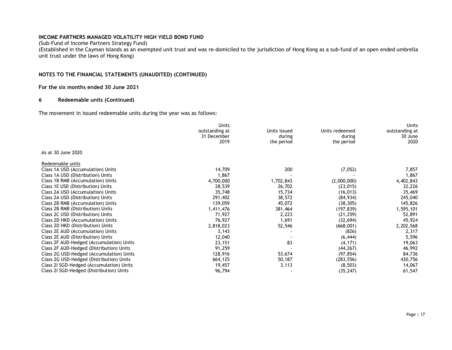(Sub-Fund of Income Partners Strategy Fund)

(Established in the Cayman Islands as an exempted unit trust and was re-domiciled to the jurisdiction of Hong Kong as a sub-fund of an open ended umbrella unit trust under the laws of Hong Kong)

# NOTES TO THE FINANCIAL STATEMENTS (UNAUDITED) (CONTINUED)

# For the six months ended 30 June 2021

# 6 Redeemable units (Continued)

The movement in issued redeemable units during the year was as follows:

|                                          | Units<br>outstanding at | Units issued | Units redeemed | <b>Units</b><br>outstanding at |
|------------------------------------------|-------------------------|--------------|----------------|--------------------------------|
|                                          | 31 December             | during       | during         | 30 June                        |
|                                          | 2019                    | the period   | the period     | 2020                           |
| As at 30 June 2020                       |                         |              |                |                                |
| Redeemable units                         |                         |              |                |                                |
| Class 1A USD (Accumulation) Units        | 14,709                  | 200          | (7,052)        | 7,857                          |
| Class 1A USD (Distribution) Units        | 1,867                   |              |                | 1,867                          |
| Class 1B RMB (Accumulation) Units        | 4,700,000               | 1,702,843    | (2,000,000)    | 4,402,843                      |
| Class 1E USD (Distribution) Units        | 28,539                  | 26,702       | (23, 015)      | 32,226                         |
| Class 2A USD (Accumulation) Units        | 35,748                  | 15,734       | (16, 013)      | 35,469                         |
| Class 2A USD (Distribution) Units        | 291,402                 | 38,572       | (84, 934)      | 245,040                        |
| Class 2B RMB (Accumulation) Units        | 139,059                 | 45,072       | (38, 305)      | 145,826                        |
| Class 2B RMB (Distribution) Units        | 1,411,476               | 381,464      | (197, 839)     | 1,595,101                      |
| Class 2C USD (Distribution) Units        | 71,927                  | 2,223        | (21, 259)      | 52,891                         |
| Class 2D HKD (Accumulation) Units        | 76,927                  | 1,691        | (32, 694)      | 45,924                         |
| Class 2D HKD (Distribution) Units        | 2,818,023               | 52,546       | (668,001)      | 2,202,568                      |
| Class 2E AUD (Accumulation) Units        | 3,143                   |              | (826)          | 2,317                          |
| Class 2E AUD (Distribution) Units        | 12,040                  |              | (6, 444)       | 5,596                          |
| Class 2F AUD-Hedged (Accumulation) Units | 23,151                  | 83           | (4, 171)       | 19,063                         |
| Class 2F AUD-Hedged (Distribution) Units | 91,259                  |              | (44, 267)      | 46,992                         |
| Class 2G USD-Hedged (Accumulation) Units | 128,916                 | 53,674       | (97, 854)      | 84,736                         |
| Class 2G USD-Hedged (Distribution) Units | 664,125                 | 50,187       | (283, 556)     | 430,756                        |
| Class 21 SGD-Hedged (Accumulation) Units | 19,457                  | 3,113        | (8, 503)       | 14,067                         |
| Class 21 SGD-Hedged (Distribution) Units | 96,794                  |              | (35, 247)      | 61,547                         |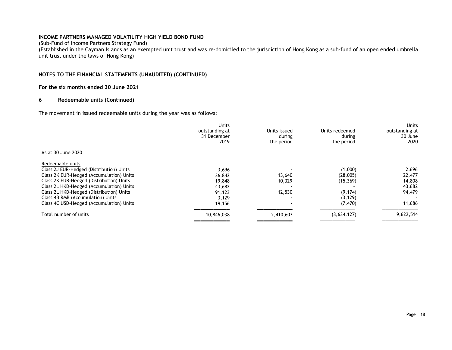(Sub-Fund of Income Partners Strategy Fund)

(Established in the Cayman Islands as an exempted unit trust and was re-domiciled to the jurisdiction of Hong Kong as a sub-fund of an open ended umbrella unit trust under the laws of Hong Kong)

# NOTES TO THE FINANCIAL STATEMENTS (UNAUDITED) (CONTINUED)

# For the six months ended 30 June 2021

# 6 Redeemable units (Continued)

The movement in issued redeemable units during the year was as follows:

| Units<br>outstanding at | Units issued | Units redeemed | Units<br>outstanding at |
|-------------------------|--------------|----------------|-------------------------|
| 31 December             | during       | during         | 30 June                 |
|                         |              |                | 2020                    |
|                         |              |                |                         |
|                         |              |                |                         |
| 3,696                   |              | (1,000)        | 2,696                   |
| 36,842                  | 13,640       | (28,005)       | 22,477                  |
| 19,848                  | 10,329       | (15, 369)      | 14,808                  |
| 43,682                  |              |                | 43,682                  |
| 91,123                  | 12,530       | (9, 174)       | 94,479                  |
| 3,129                   |              | (3, 129)       |                         |
| 19,156                  |              | (7, 470)       | 11,686                  |
| 10,846,038              | 2,410,603    | (3,634,127)    | 9,622,514               |
|                         | 2019         | the period     | the period              |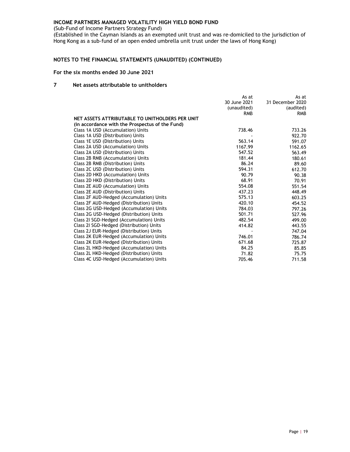(Sub-Fund of Income Partners Strategy Fund)

(Established in the Cayman Islands as an exempted unit trust and was re-domiciled to the jurisdiction of Hong Kong as a sub-fund of an open ended umbrella unit trust under the laws of Hong Kong)

# NOTES TO THE FINANCIAL STATEMENTS (UNAUDITED) (CONTINUED)

# For the six months ended 30 June 2021

# 7 Net assets attributable to unitholders

|                                                 | As at        | As at            |
|-------------------------------------------------|--------------|------------------|
|                                                 | 30 June 2021 | 31 December 2020 |
|                                                 | (unaudited)  | (audited)        |
|                                                 | <b>RMB</b>   | <b>RMB</b>       |
| NET ASSETS ATTRIBUTABLE TO UNITHOLDERS PER UNIT |              |                  |
| (in accordance with the Prospectus of the Fund) |              |                  |
| Class 1A USD (Accumulation) Units               | 738.46       | 733.26           |
| Class 1A USD (Distribution) Units               |              | 922.70           |
| Class 1E USD (Distribution) Units               | 563.14       | 591.07           |
| Class 2A USD (Accumulation) Units               | 1167.99      | 1162.65          |
| Class 2A USD (Distribution) Units               | 547.52       | 563.49           |
| Class 2B RMB (Accumulation) Units               | 181.44       | 180.61           |
| Class 2B RMB (Distribution) Units               | 86.24        | 89.60            |
| Class 2C USD (Distribution) Units               | 594.31       | 612.70           |
| Class 2D HKD (Accumulation) Units               | 90.79        | 90.38            |
| Class 2D HKD (Distribution) Units               | 68.91        | 70.91            |
| Class 2E AUD (Accumulation) Units               | 554.08       | 551.54           |
| Class 2E AUD (Distribution) Units               | 437.23       | 448.49           |
| Class 2F AUD-Hedged (Accumulation) Units        | 575.13       | 603.25           |
| Class 2F AUD-Hedged (Distribution) Units        | 420.10       | 454.52           |
| Class 2G USD-Hedged (Accumulation) Units        | 784.03       | 797.26           |
| Class 2G USD-Hedged (Distribution) Units        | 501.71       | 527.96           |
| Class 21 SGD-Hedged (Accumulation) Units        | 482.54       | 499.00           |
| Class 2I SGD-Hedged (Distribution) Units        | 414.82       | 443.55           |
| Class 2J EUR-Hedged (Distribution) Units        |              | 747.04           |
| Class 2K EUR-Hedged (Accumulation) Units        | 746.01       | 786.74           |
| Class 2K EUR-Hedged (Distribution) Units        | 671.68       | 725.87           |
| Class 2L HKD-Hedged (Accumulation) Units        | 84.25        | 85.85            |
| Class 2L HKD-Hedged (Distribution) Units        | 71.82        | 75.75            |
| Class 4C USD-Hedged (Accumulation) Units        | 705.46       | 711.58           |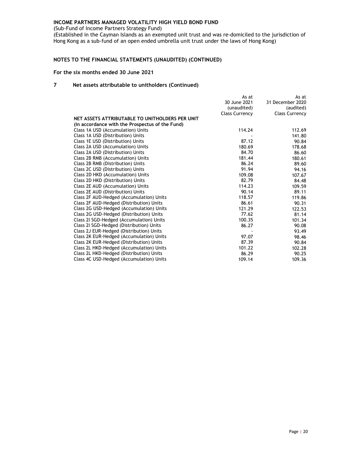(Sub-Fund of Income Partners Strategy Fund)

(Established in the Cayman Islands as an exempted unit trust and was re-domiciled to the jurisdiction of Hong Kong as a sub-fund of an open ended umbrella unit trust under the laws of Hong Kong)

# NOTES TO THE FINANCIAL STATEMENTS (UNAUDITED) (CONTINUED)

# For the six months ended 30 June 2021

# 7 Net assets attributable to unitholders (Continued)

|                                                 | As at                 | As at                 |
|-------------------------------------------------|-----------------------|-----------------------|
|                                                 | 30 June 2021          | 31 December 2020      |
|                                                 | (unaudited)           | (audited)             |
|                                                 | <b>Class Currency</b> | <b>Class Currency</b> |
| NET ASSETS ATTRIBUTABLE TO UNITHOLDERS PER UNIT |                       |                       |
| (in accordance with the Prospectus of the Fund) |                       |                       |
| Class 1A USD (Accumulation) Units               | 114.24                | 112.69                |
| Class 1A USD (Distribution) Units               |                       | 141.80                |
| Class 1E USD (Distribution) Units               | 87.12                 | 90.84                 |
| Class 2A USD (Accumulation) Units               | 180.69                | 178.68                |
| Class 2A USD (Distribution) Units               | 84.70                 | 86.60                 |
| Class 2B RMB (Accumulation) Units               | 181.44                | 180.61                |
| Class 2B RMB (Distribution) Units               | 86.24                 | 89.60                 |
| Class 2C USD (Distribution) Units               | 91.94                 | 94.16                 |
| Class 2D HKD (Accumulation) Units               | 109.08                | 107.67                |
| Class 2D HKD (Distribution) Units               | 82.79                 | 84.48                 |
| Class 2E AUD (Accumulation) Units               | 114.23                | 109.59                |
| Class 2E AUD (Distribution) Units               | 90.14                 | 89.11                 |
| Class 2F AUD-Hedged (Accumulation) Units        | 118.57                | 119.86                |
| Class 2F AUD-Hedged (Distribution) Units        | 86.61                 | 90.31                 |
| Class 2G USD-Hedged (Accumulation) Units        | 121.29                | 122.53                |
| Class 2G USD-Hedged (Distribution) Units        | 77.62                 | 81.14                 |
| Class 21 SGD-Hedged (Accumulation) Units        | 100.35                | 101.34                |
| Class 21 SGD-Hedged (Distribution) Units        | 86.27                 | 90.08                 |
| Class 2J EUR-Hedged (Distribution) Units        |                       | 93.49                 |
| Class 2K EUR-Hedged (Accumulation) Units        | 97.07                 | 98.46                 |
| Class 2K EUR-Hedged (Distribution) Units        | 87.39                 | 90.84                 |
| Class 2L HKD-Hedged (Accumulation) Units        | 101.22                | 102.28                |
| Class 2L HKD-Hedged (Distribution) Units        | 86.29                 | 90.25                 |
| Class 4C USD-Hedged (Accumulation) Units        | 109.14                | 109.36                |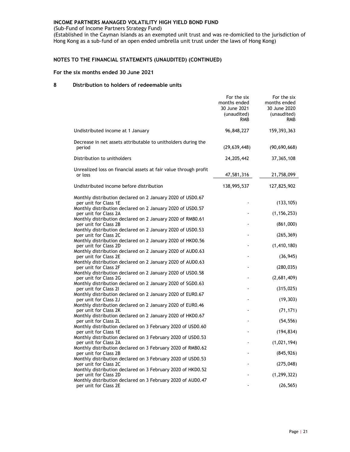(Sub-Fund of Income Partners Strategy Fund)

(Established in the Cayman Islands as an exempted unit trust and was re-domiciled to the jurisdiction of Hong Kong as a sub-fund of an open ended umbrella unit trust under the laws of Hong Kong)

# NOTES TO THE FINANCIAL STATEMENTS (UNAUDITED) (CONTINUED)

# For the six months ended 30 June 2021

# 8 Distribution to holders of redeemable units

|                                                                                      | For the six<br>months ended<br>30 June 2021<br>(unaudited)<br><b>RMB</b> | For the six<br>months ended<br>30 June 2020<br>(unaudited)<br><b>RMB</b> |
|--------------------------------------------------------------------------------------|--------------------------------------------------------------------------|--------------------------------------------------------------------------|
| Undistributed income at 1 January                                                    | 96,848,227                                                               | 159, 393, 363                                                            |
| Decrease in net assets attributable to unitholders during the<br>period              | (29, 639, 448)                                                           | (90, 690, 668)                                                           |
| Distribution to unitholders                                                          | 24, 205, 442                                                             | 37, 365, 108                                                             |
| Unrealized loss on financial assets at fair value through profit<br>or loss          | 47,581,316                                                               | 21,758,099                                                               |
| Undistributed income before distribution                                             | 138,995,537                                                              | 127,825,902                                                              |
| Monthly distribution declared on 2 January 2020 of USD0.67<br>per unit for Class 1E  |                                                                          | (133, 105)                                                               |
| Monthly distribution declared on 2 January 2020 of USD0.57<br>per unit for Class 2A  |                                                                          | (1, 156, 253)                                                            |
| Monthly distribution declared on 2 January 2020 of RMB0.61<br>per unit for Class 2B  |                                                                          | (861,000)                                                                |
| Monthly distribution declared on 2 January 2020 of USD0.53<br>per unit for Class 2C  |                                                                          | (265, 369)                                                               |
| Monthly distribution declared on 2 January 2020 of HKD0.56<br>per unit for Class 2D  |                                                                          | (1, 410, 180)                                                            |
| Monthly distribution declared on 2 January 2020 of AUD0.63<br>per unit for Class 2E  |                                                                          | (36, 945)                                                                |
| Monthly distribution declared on 2 January 2020 of AUD0.63<br>per unit for Class 2F  |                                                                          | (280, 035)                                                               |
| Monthly distribution declared on 2 January 2020 of USD0.58<br>per unit for Class 2G  |                                                                          | (2,681,409)                                                              |
| Monthly distribution declared on 2 January 2020 of SGD0.63<br>per unit for Class 21  |                                                                          | (315, 025)                                                               |
| Monthly distribution declared on 2 January 2020 of EUR0.67<br>per unit for Class 2J  |                                                                          | (19, 303)                                                                |
| Monthly distribution declared on 2 January 2020 of EUR0.46<br>per unit for Class 2K  |                                                                          | (71, 171)                                                                |
| Monthly distribution declared on 2 January 2020 of HKD0.67<br>per unit for Class 2L  |                                                                          | (54, 556)                                                                |
| Monthly distribution declared on 3 February 2020 of USD0.60<br>per unit for Class 1E |                                                                          | (194, 834)                                                               |
| Monthly distribution declared on 3 February 2020 of USD0.53<br>per unit for Class 2A |                                                                          | (1,021,194)                                                              |
| Monthly distribution declared on 3 February 2020 of RMB0.62<br>per unit for Class 2B |                                                                          | (845, 926)                                                               |
| Monthly distribution declared on 3 February 2020 of USD0.53<br>per unit for Class 2C |                                                                          | (275, 048)                                                               |
| Monthly distribution declared on 3 February 2020 of HKD0.52<br>per unit for Class 2D |                                                                          | (1, 299, 322)                                                            |
| Monthly distribution declared on 3 February 2020 of AUD0.47<br>per unit for Class 2E |                                                                          | (26, 565)                                                                |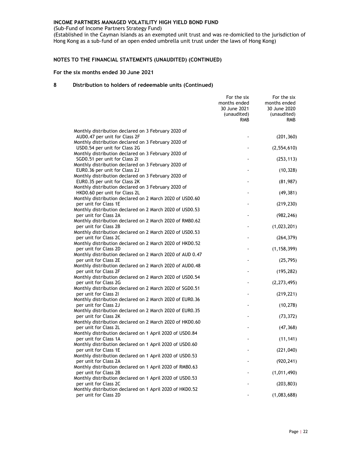(Sub-Fund of Income Partners Strategy Fund)

(Established in the Cayman Islands as an exempted unit trust and was re-domiciled to the jurisdiction of Hong Kong as a sub-fund of an open ended umbrella unit trust under the laws of Hong Kong)

# NOTES TO THE FINANCIAL STATEMENTS (UNAUDITED) (CONTINUED)

# For the six months ended 30 June 2021

|                                                                                      | For the six<br>months ended<br>30 June 2021<br>(unaudited)<br>RMB | For the six<br>months ended<br>30 June 2020<br>(unaudited)<br><b>RMB</b> |
|--------------------------------------------------------------------------------------|-------------------------------------------------------------------|--------------------------------------------------------------------------|
| Monthly distribution declared on 3 February 2020 of                                  |                                                                   |                                                                          |
| AUD0.47 per unit for Class 2F<br>Monthly distribution declared on 3 February 2020 of |                                                                   | (201, 360)                                                               |
| USD0.54 per unit for Class 2G<br>Monthly distribution declared on 3 February 2020 of |                                                                   | (2, 554, 610)                                                            |
| SGD0.51 per unit for Class 21                                                        |                                                                   | (253, 113)                                                               |
| Monthly distribution declared on 3 February 2020 of<br>EUR0.36 per unit for Class 2J |                                                                   | (10, 328)                                                                |
| Monthly distribution declared on 3 February 2020 of                                  |                                                                   |                                                                          |
| EUR0.35 per unit for Class 2K<br>Monthly distribution declared on 3 February 2020 of |                                                                   | (81, 987)                                                                |
| HKD0.60 per unit for Class 2L                                                        |                                                                   | (49, 381)                                                                |
| Monthly distribution declared on 2 March 2020 of USD0.60<br>per unit for Class 1E    |                                                                   | (219, 230)                                                               |
| Monthly distribution declared on 2 March 2020 of USD0.53                             |                                                                   |                                                                          |
| per unit for Class 2A<br>Monthly distribution declared on 2 March 2020 of RMB0.62    |                                                                   | (982, 246)                                                               |
| per unit for Class 2B                                                                |                                                                   | (1,023,201)                                                              |
| Monthly distribution declared on 2 March 2020 of USD0.53<br>per unit for Class 2C    |                                                                   | (264, 379)                                                               |
| Monthly distribution declared on 2 March 2020 of HKD0.52                             |                                                                   |                                                                          |
| per unit for Class 2D<br>Monthly distribution declared on 2 March 2020 of AUD 0.47   |                                                                   | (1, 158, 399)                                                            |
| per unit for Class 2E                                                                |                                                                   | (25, 795)                                                                |
| Monthly distribution declared on 2 March 2020 of AUD0.48<br>per unit for Class 2F    |                                                                   | (195, 282)                                                               |
| Monthly distribution declared on 2 March 2020 of USD0.54                             |                                                                   |                                                                          |
| per unit for Class 2G<br>Monthly distribution declared on 2 March 2020 of SGD0.51    |                                                                   | (2, 273, 495)                                                            |
| per unit for Class 21                                                                |                                                                   | (219, 221)                                                               |
| Monthly distribution declared on 2 March 2020 of EUR0.36<br>per unit for Class 2J    |                                                                   | (10, 278)                                                                |
| Monthly distribution declared on 2 March 2020 of EUR0.35                             |                                                                   |                                                                          |
| per unit for Class 2K<br>Monthly distribution declared on 2 March 2020 of HKD0.60    |                                                                   | (73, 372)                                                                |
| per unit for Class 2L                                                                |                                                                   | (47, 368)                                                                |
| Monthly distribution declared on 1 April 2020 of USD0.84<br>per unit for Class 1A    |                                                                   | (11, 141)                                                                |
| Monthly distribution declared on 1 April 2020 of USD0.60                             |                                                                   |                                                                          |
| per unit for Class 1E<br>Monthly distribution declared on 1 April 2020 of USD0.53    |                                                                   | (221, 040)                                                               |
| per unit for Class 2A                                                                |                                                                   | (920, 241)                                                               |
| Monthly distribution declared on 1 April 2020 of RMB0.63<br>per unit for Class 2B    |                                                                   | (1,011,490)                                                              |
| Monthly distribution declared on 1 April 2020 of USD0.53<br>per unit for Class 2C    |                                                                   | (203, 803)                                                               |
| Monthly distribution declared on 1 April 2020 of HKD0.52                             |                                                                   |                                                                          |
| per unit for Class 2D                                                                |                                                                   | (1,083,688)                                                              |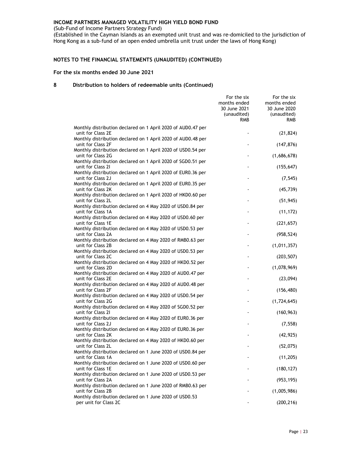(Sub-Fund of Income Partners Strategy Fund)

(Established in the Cayman Islands as an exempted unit trust and was re-domiciled to the jurisdiction of Hong Kong as a sub-fund of an open ended umbrella unit trust under the laws of Hong Kong)

# NOTES TO THE FINANCIAL STATEMENTS (UNAUDITED) (CONTINUED)

# For the six months ended 30 June 2021

|                                                                                                      | For the six<br>months ended<br>30 June 2021<br>(unaudited)<br><b>RMB</b> | For the six<br>months ended<br>30 June 2020<br>(unaudited)<br><b>RMB</b> |
|------------------------------------------------------------------------------------------------------|--------------------------------------------------------------------------|--------------------------------------------------------------------------|
| Monthly distribution declared on 1 April 2020 of AUD0.47 per<br>unit for Class 2E                    |                                                                          | (21, 824)                                                                |
| Monthly distribution declared on 1 April 2020 of AUD0.48 per<br>unit for Class 2F                    |                                                                          | (147, 876)                                                               |
| Monthly distribution declared on 1 April 2020 of USD0.54 per<br>unit for Class 2G                    |                                                                          | (1,686,678)                                                              |
| Monthly distribution declared on 1 April 2020 of SGD0.51 per<br>unit for Class 21                    |                                                                          | (155, 647)                                                               |
| Monthly distribution declared on 1 April 2020 of EUR0.36 per<br>unit for Class 2J                    |                                                                          |                                                                          |
| Monthly distribution declared on 1 April 2020 of EUR0.35 per<br>unit for Class 2K                    |                                                                          | (7, 545)                                                                 |
| Monthly distribution declared on 1 April 2020 of HKD0.60 per<br>unit for Class 2L                    |                                                                          | (45, 739)                                                                |
| Monthly distribution declared on 4 May 2020 of USD0.84 per<br>unit for Class 1A                      |                                                                          | (51, 945)                                                                |
| Monthly distribution declared on 4 May 2020 of USD0.60 per                                           |                                                                          | (11, 172)                                                                |
| unit for Class 1E<br>Monthly distribution declared on 4 May 2020 of USD0.53 per                      |                                                                          | (221, 657)                                                               |
| unit for Class 2A<br>Monthly distribution declared on 4 May 2020 of RMB0.63 per<br>unit for Class 2B |                                                                          | (958, 524)<br>(1,011,357)                                                |
| Monthly distribution declared on 4 May 2020 of USD0.53 per<br>unit for Class 2C                      |                                                                          | (203, 507)                                                               |
| Monthly distribution declared on 4 May 2020 of HKD0.52 per<br>unit for Class 2D                      |                                                                          | (1,078,969)                                                              |
| Monthly distribution declared on 4 May 2020 of AUD0.47 per<br>unit for Class 2E                      |                                                                          | (23,094)                                                                 |
| Monthly distribution declared on 4 May 2020 of AUD0.48 per<br>unit for Class 2F                      |                                                                          | (156, 480)                                                               |
| Monthly distribution declared on 4 May 2020 of USD0.54 per<br>unit for Class 2G                      |                                                                          | (1,724,645)                                                              |
| Monthly distribution declared on 4 May 2020 of SGD0.52 per<br>unit for Class 21                      |                                                                          | (160, 963)                                                               |
| Monthly distribution declared on 4 May 2020 of EUR0.36 per<br>unit for Class 2J                      |                                                                          | (7, 558)                                                                 |
| Monthly distribution declared on 4 May 2020 of EUR0.36 per<br>unit for Class 2K                      |                                                                          | (42, 925)                                                                |
| Monthly distribution declared on 4 May 2020 of HKD0.60 per<br>unit for Class 2L                      |                                                                          | (52,075)                                                                 |
| Monthly distribution declared on 1 June 2020 of USD0.84 per<br>unit for Class 1A                     |                                                                          | (11, 205)                                                                |
| Monthly distribution declared on 1 June 2020 of USD0.60 per<br>unit for Class 1E                     |                                                                          | (180, 127)                                                               |
| Monthly distribution declared on 1 June 2020 of USD0.53 per<br>unit for Class 2A                     |                                                                          | (953, 195)                                                               |
| Monthly distribution declared on 1 June 2020 of RMB0.63 per<br>unit for Class 2B                     |                                                                          | (1,005,986)                                                              |
| Monthly distribution declared on 1 June 2020 of USD0.53<br>per unit for Class 2C                     |                                                                          | (200, 216)                                                               |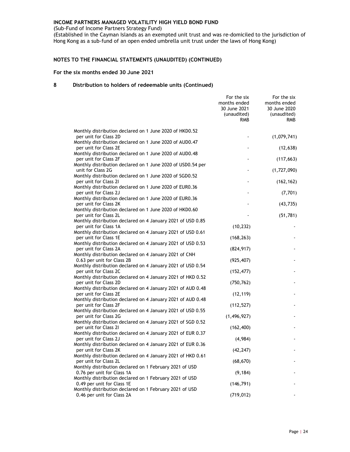(Sub-Fund of Income Partners Strategy Fund)

(Established in the Cayman Islands as an exempted unit trust and was re-domiciled to the jurisdiction of Hong Kong as a sub-fund of an open ended umbrella unit trust under the laws of Hong Kong)

# NOTES TO THE FINANCIAL STATEMENTS (UNAUDITED) (CONTINUED)

# For the six months ended 30 June 2021

|                                                                                       | For the six<br>months ended<br>30 June 2021<br>(unaudited)<br><b>RMB</b> | For the six<br>months ended<br>30 June 2020<br>(unaudited)<br><b>RMB</b> |
|---------------------------------------------------------------------------------------|--------------------------------------------------------------------------|--------------------------------------------------------------------------|
| Monthly distribution declared on 1 June 2020 of HKD0.52                               |                                                                          |                                                                          |
| per unit for Class 2D<br>Monthly distribution declared on 1 June 2020 of AUD0.47      |                                                                          | (1,079,741)                                                              |
| per unit for Class 2E                                                                 |                                                                          | (12, 638)                                                                |
| Monthly distribution declared on 1 June 2020 of AUD0.48<br>per unit for Class 2F      |                                                                          | (117, 663)                                                               |
| Monthly distribution declared on 1 June 2020 of USD0.54 per<br>unit for Class 2G      |                                                                          | (1,727,090)                                                              |
| Monthly distribution declared on 1 June 2020 of SGD0.52<br>per unit for Class 21      |                                                                          | (162, 162)                                                               |
| Monthly distribution declared on 1 June 2020 of EUR0.36<br>per unit for Class 2J      |                                                                          | (7,701)                                                                  |
| Monthly distribution declared on 1 June 2020 of EUR0.36<br>per unit for Class 2K      |                                                                          | (43, 735)                                                                |
| Monthly distribution declared on 1 June 2020 of HKD0.60<br>per unit for Class 2L      |                                                                          | (51, 781)                                                                |
| Monthly distribution declared on 4 January 2021 of USD 0.85<br>per unit for Class 1A  | (10, 232)                                                                |                                                                          |
| Monthly distribution declared on 4 January 2021 of USD 0.61<br>per unit for Class 1E  | (168, 263)                                                               |                                                                          |
| Monthly distribution declared on 4 January 2021 of USD 0.53<br>per unit for Class 2A  | (824, 917)                                                               |                                                                          |
| Monthly distribution declared on 4 January 2021 of CNH<br>0.63 per unit for Class 2B  |                                                                          |                                                                          |
| Monthly distribution declared on 4 January 2021 of USD 0.54                           | (925, 407)                                                               |                                                                          |
| per unit for Class 2C<br>Monthly distribution declared on 4 January 2021 of HKD 0.52  | (152, 477)                                                               |                                                                          |
| per unit for Class 2D<br>Monthly distribution declared on 4 January 2021 of AUD 0.48  | (750, 762)                                                               |                                                                          |
| per unit for Class 2E<br>Monthly distribution declared on 4 January 2021 of AUD 0.48  | (12, 119)                                                                |                                                                          |
| per unit for Class 2F<br>Monthly distribution declared on 4 January 2021 of USD 0.55  | (112, 527)                                                               |                                                                          |
| per unit for Class 2G<br>Monthly distribution declared on 4 January 2021 of SGD 0.52  | (1, 496, 927)                                                            |                                                                          |
| per unit for Class 21<br>Monthly distribution declared on 4 January 2021 of EUR 0.37  | (162, 400)                                                               |                                                                          |
| per unit for Class 2J<br>Monthly distribution declared on 4 January 2021 of EUR 0.36  | (4,984)                                                                  |                                                                          |
| per unit for Class 2K                                                                 | (42, 247)                                                                |                                                                          |
| Monthly distribution declared on 4 January 2021 of HKD 0.61<br>per unit for Class 2L  | (68, 670)                                                                |                                                                          |
| Monthly distribution declared on 1 February 2021 of USD<br>0.76 per unit for Class 1A | (9, 184)                                                                 |                                                                          |
| Monthly distribution declared on 1 February 2021 of USD<br>0.49 per unit for Class 1E | (146, 791)                                                               |                                                                          |
| Monthly distribution declared on 1 February 2021 of USD<br>0.46 per unit for Class 2A | (719, 012)                                                               |                                                                          |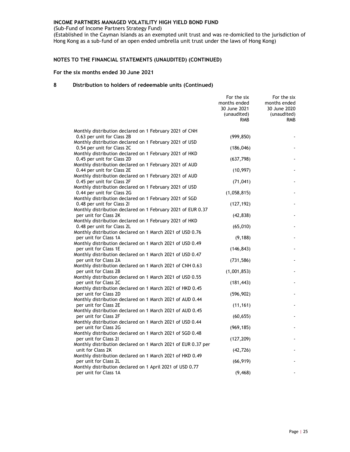(Sub-Fund of Income Partners Strategy Fund)

(Established in the Cayman Islands as an exempted unit trust and was re-domiciled to the jurisdiction of Hong Kong as a sub-fund of an open ended umbrella unit trust under the laws of Hong Kong)

# NOTES TO THE FINANCIAL STATEMENTS (UNAUDITED) (CONTINUED)

# For the six months ended 30 June 2021

|                                                                                       | For the six<br>months ended<br>30 June 2021<br>(unaudited)<br><b>RMB</b> | For the six<br>months ended<br>30 June 2020<br>(unaudited)<br><b>RMB</b> |
|---------------------------------------------------------------------------------------|--------------------------------------------------------------------------|--------------------------------------------------------------------------|
| Monthly distribution declared on 1 February 2021 of CNH                               |                                                                          |                                                                          |
| 0.63 per unit for Class 2B                                                            | (999, 850)                                                               |                                                                          |
| Monthly distribution declared on 1 February 2021 of USD                               |                                                                          |                                                                          |
| 0.54 per unit for Class 2C                                                            | (186, 046)                                                               |                                                                          |
| Monthly distribution declared on 1 February 2021 of HKD<br>0.45 per unit for Class 2D |                                                                          |                                                                          |
| Monthly distribution declared on 1 February 2021 of AUD                               | (637, 798)                                                               |                                                                          |
| 0.44 per unit for Class 2E                                                            | (10, 997)                                                                |                                                                          |
| Monthly distribution declared on 1 February 2021 of AUD                               |                                                                          |                                                                          |
| 0.45 per unit for Class 2F                                                            | (71, 041)                                                                |                                                                          |
| Monthly distribution declared on 1 February 2021 of USD                               |                                                                          |                                                                          |
| 0.44 per unit for Class 2G                                                            | (1,058,815)                                                              |                                                                          |
| Monthly distribution declared on 1 February 2021 of SGD<br>0.48 per unit for Class 21 | (127, 192)                                                               |                                                                          |
| Monthly distribution declared on 1 February 2021 of EUR 0.37                          |                                                                          |                                                                          |
| per unit for Class 2K                                                                 | (42, 838)                                                                |                                                                          |
| Monthly distribution declared on 1 February 2021 of HKD                               |                                                                          |                                                                          |
| 0.48 per unit for Class 2L                                                            | (65,010)                                                                 |                                                                          |
| Monthly distribution declared on 1 March 2021 of USD 0.76                             |                                                                          |                                                                          |
| per unit for Class 1A<br>Monthly distribution declared on 1 March 2021 of USD 0.49    | (9, 188)                                                                 |                                                                          |
| per unit for Class 1E                                                                 | (146, 843)                                                               |                                                                          |
| Monthly distribution declared on 1 March 2021 of USD 0.47                             |                                                                          |                                                                          |
| per unit for Class 2A                                                                 | (731, 586)                                                               |                                                                          |
| Monthly distribution declared on 1 March 2021 of CNH 0.63                             |                                                                          |                                                                          |
| per unit for Class 2B                                                                 | (1,001,853)                                                              |                                                                          |
| Monthly distribution declared on 1 March 2021 of USD 0.55                             |                                                                          |                                                                          |
| per unit for Class 2C<br>Monthly distribution declared on 1 March 2021 of HKD 0.45    | (181, 443)                                                               |                                                                          |
| per unit for Class 2D                                                                 | (596, 902)                                                               |                                                                          |
| Monthly distribution declared on 1 March 2021 of AUD 0.44                             |                                                                          |                                                                          |
| per unit for Class 2E                                                                 | (11, 161)                                                                |                                                                          |
| Monthly distribution declared on 1 March 2021 of AUD 0.45                             |                                                                          |                                                                          |
| per unit for Class 2F                                                                 | (60, 655)                                                                |                                                                          |
| Monthly distribution declared on 1 March 2021 of USD 0.44                             |                                                                          |                                                                          |
| per unit for Class 2G<br>Monthly distribution declared on 1 March 2021 of SGD 0.48    | (969, 185)                                                               |                                                                          |
| per unit for Class 21                                                                 | (127, 209)                                                               |                                                                          |
| Monthly distribution declared on 1 March 2021 of EUR 0.37 per                         |                                                                          |                                                                          |
| unit for Class 2K                                                                     | (42, 726)                                                                |                                                                          |
| Monthly distribution declared on 1 March 2021 of HKD 0.49                             |                                                                          |                                                                          |
| per unit for Class 2L                                                                 | (66, 919)                                                                |                                                                          |
| Monthly distribution declared on 1 April 2021 of USD 0.77<br>per unit for Class 1A    | (9, 468)                                                                 |                                                                          |
|                                                                                       |                                                                          |                                                                          |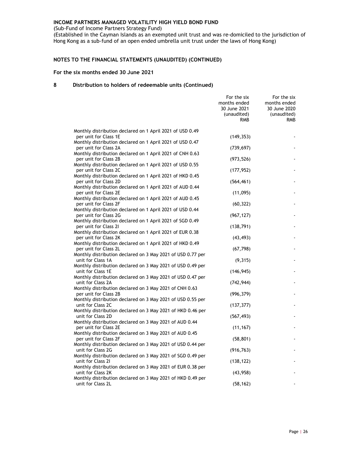(Sub-Fund of Income Partners Strategy Fund)

(Established in the Cayman Islands as an exempted unit trust and was re-domiciled to the jurisdiction of Hong Kong as a sub-fund of an open ended umbrella unit trust under the laws of Hong Kong)

# NOTES TO THE FINANCIAL STATEMENTS (UNAUDITED) (CONTINUED)

# For the six months ended 30 June 2021

|                                                                                      | For the six<br>months ended<br>30 June 2021<br>(unaudited)<br><b>RMB</b> | For the six<br>months ended<br>30 June 2020<br>(unaudited)<br><b>RMB</b> |
|--------------------------------------------------------------------------------------|--------------------------------------------------------------------------|--------------------------------------------------------------------------|
| Monthly distribution declared on 1 April 2021 of USD 0.49                            |                                                                          |                                                                          |
| per unit for Class 1E                                                                | (149, 353)                                                               |                                                                          |
| Monthly distribution declared on 1 April 2021 of USD 0.47                            |                                                                          |                                                                          |
| per unit for Class 2A                                                                | (739, 697)                                                               |                                                                          |
| Monthly distribution declared on 1 April 2021 of CNH 0.63                            |                                                                          |                                                                          |
| per unit for Class 2B                                                                | (973, 526)                                                               |                                                                          |
| Monthly distribution declared on 1 April 2021 of USD 0.55                            |                                                                          |                                                                          |
| per unit for Class 2C                                                                | (177, 952)                                                               |                                                                          |
| Monthly distribution declared on 1 April 2021 of HKD 0.45                            |                                                                          |                                                                          |
| per unit for Class 2D                                                                | (564, 461)                                                               |                                                                          |
| Monthly distribution declared on 1 April 2021 of AUD 0.44                            |                                                                          |                                                                          |
| per unit for Class 2E                                                                | (11,095)                                                                 |                                                                          |
| Monthly distribution declared on 1 April 2021 of AUD 0.45                            |                                                                          |                                                                          |
| per unit for Class 2F<br>Monthly distribution declared on 1 April 2021 of USD 0.44   | (60, 322)                                                                |                                                                          |
| per unit for Class 2G                                                                | (967, 127)                                                               |                                                                          |
| Monthly distribution declared on 1 April 2021 of SGD 0.49                            |                                                                          |                                                                          |
| per unit for Class 21                                                                | (138, 791)                                                               |                                                                          |
| Monthly distribution declared on 1 April 2021 of EUR 0.38                            |                                                                          |                                                                          |
| per unit for Class 2K                                                                | (43, 493)                                                                |                                                                          |
| Monthly distribution declared on 1 April 2021 of HKD 0.49                            |                                                                          |                                                                          |
| per unit for Class 2L                                                                | (67, 798)                                                                |                                                                          |
| Monthly distribution declared on 3 May 2021 of USD 0.77 per                          |                                                                          |                                                                          |
| unit for Class 1A                                                                    | (9, 315)                                                                 |                                                                          |
| Monthly distribution declared on 3 May 2021 of USD 0.49 per                          |                                                                          |                                                                          |
| unit for Class 1E                                                                    | (146, 945)                                                               |                                                                          |
| Monthly distribution declared on 3 May 2021 of USD 0.47 per                          |                                                                          |                                                                          |
| unit for Class 2A                                                                    | (742, 944)                                                               |                                                                          |
| Monthly distribution declared on 3 May 2021 of CNH 0.63                              |                                                                          |                                                                          |
| per unit for Class 2B<br>Monthly distribution declared on 3 May 2021 of USD 0.55 per | (996, 379)                                                               |                                                                          |
| unit for Class 2C                                                                    | (137, 377)                                                               |                                                                          |
| Monthly distribution declared on 3 May 2021 of HKD 0.46 per                          |                                                                          |                                                                          |
| unit for Class 2D                                                                    | (567, 493)                                                               |                                                                          |
| Monthly distribution declared on 3 May 2021 of AUD 0.44                              |                                                                          |                                                                          |
| per unit for Class 2E                                                                | (11, 167)                                                                |                                                                          |
| Monthly distribution declared on 3 May 2021 of AUD 0.45                              |                                                                          |                                                                          |
| per unit for Class 2F                                                                | (58, 801)                                                                |                                                                          |
| Monthly distribution declared on 3 May 2021 of USD 0.44 per                          |                                                                          |                                                                          |
| unit for Class 2G                                                                    | (916, 763)                                                               |                                                                          |
| Monthly distribution declared on 3 May 2021 of SGD 0.49 per                          |                                                                          |                                                                          |
| unit for Class 21                                                                    | (138, 122)                                                               |                                                                          |
| Monthly distribution declared on 3 May 2021 of EUR 0.38 per                          |                                                                          |                                                                          |
| unit for Class 2K                                                                    | (43, 958)                                                                |                                                                          |
| Monthly distribution declared on 3 May 2021 of HKD 0.49 per<br>unit for Class 2L     | (58, 162)                                                                |                                                                          |
|                                                                                      |                                                                          |                                                                          |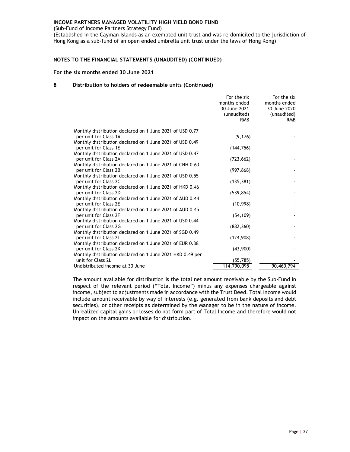(Sub-Fund of Income Partners Strategy Fund)

(Established in the Cayman Islands as an exempted unit trust and was re-domiciled to the jurisdiction of Hong Kong as a sub-fund of an open ended umbrella unit trust under the laws of Hong Kong)

# NOTES TO THE FINANCIAL STATEMENTS (UNAUDITED) (CONTINUED)

# For the six months ended 30 June 2021

### 8 Distribution to holders of redeemable units (Continued)

|                                                                                   | For the six<br>months ended<br>30 June 2021<br>(unaudited)<br><b>RMB</b> | For the six<br>months ended<br>30 June 2020<br>(unaudited)<br><b>RMB</b> |
|-----------------------------------------------------------------------------------|--------------------------------------------------------------------------|--------------------------------------------------------------------------|
| Monthly distribution declared on 1 June 2021 of USD 0.77                          |                                                                          |                                                                          |
| per unit for Class 1A                                                             | (9, 176)                                                                 |                                                                          |
| Monthly distribution declared on 1 June 2021 of USD 0.49                          |                                                                          |                                                                          |
| per unit for Class 1E                                                             | (144, 756)                                                               |                                                                          |
| Monthly distribution declared on 1 June 2021 of USD 0.47                          |                                                                          |                                                                          |
| per unit for Class 2A                                                             | (723, 662)                                                               |                                                                          |
| Monthly distribution declared on 1 June 2021 of CNH 0.63<br>per unit for Class 2B | (997, 868)                                                               |                                                                          |
| Monthly distribution declared on 1 June 2021 of USD 0.55                          |                                                                          |                                                                          |
| per unit for Class 2C                                                             | (135, 381)                                                               |                                                                          |
| Monthly distribution declared on 1 June 2021 of HKD 0.46                          |                                                                          |                                                                          |
| per unit for Class 2D                                                             | (539, 854)                                                               |                                                                          |
| Monthly distribution declared on 1 June 2021 of AUD 0.44                          |                                                                          |                                                                          |
| per unit for Class 2E                                                             | (10,998)                                                                 |                                                                          |
| Monthly distribution declared on 1 June 2021 of AUD 0.45                          |                                                                          |                                                                          |
| per unit for Class 2F<br>Monthly distribution declared on 1 June 2021 of USD 0.44 | (54, 109)                                                                |                                                                          |
| per unit for Class 2G                                                             | (882, 360)                                                               |                                                                          |
| Monthly distribution declared on 1 June 2021 of SGD 0.49                          |                                                                          |                                                                          |
| per unit for Class 21                                                             | (124, 908)                                                               |                                                                          |
| Monthly distribution declared on 1 June 2021 of EUR 0.38                          |                                                                          |                                                                          |
| per unit for Class 2K                                                             | (43,900)                                                                 |                                                                          |
| Monthly distribution declared on 1 June 2021 HKD 0.49 per                         |                                                                          |                                                                          |
| unit for Class 2L                                                                 | (55, 785)                                                                |                                                                          |
| Undistributed income at 30 June                                                   | 114,790,095                                                              | 90,460,794                                                               |

The amount available for distribution is the total net amount receivable by the Sub-Fund in respect of the relevant period ("Total Income") minus any expenses chargeable against income, subject to adjustments made in accordance with the Trust Deed. Total Income would include amount receivable by way of interests (e.g. generated from bank deposits and debt securities), or other receipts as determined by the Manager to be in the nature of income. Unrealized capital gains or losses do not form part of Total Income and therefore would not impact on the amounts available for distribution.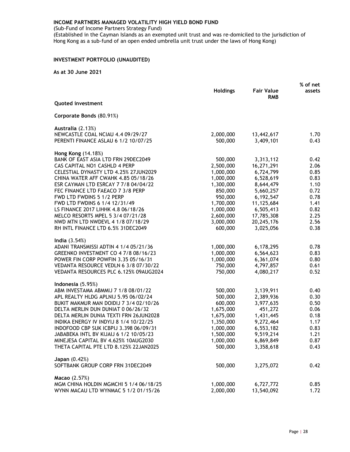(Sub-Fund of Income Partners Strategy Fund)

(Established in the Cayman Islands as an exempted unit trust and was re-domiciled to the jurisdiction of Hong Kong as a sub-fund of an open ended umbrella unit trust under the laws of Hong Kong)

# INVESTMENT PORTFOLIO (UNAUDITED)

|                                                                                |                        |                                 | % of net     |
|--------------------------------------------------------------------------------|------------------------|---------------------------------|--------------|
|                                                                                | <b>Holdings</b>        | <b>Fair Value</b><br><b>RMB</b> | assets       |
| <b>Quoted investment</b>                                                       |                        |                                 |              |
| Corporate Bonds (80.91%)                                                       |                        |                                 |              |
| Australia (2.13%)                                                              |                        |                                 |              |
| NEWCASTLE COAL NCIAU 4.4 09/29/27<br>PERENTI FINANCE ASLAU 6 1/2 10/07/25      | 2,000,000<br>500,000   | 13,442,617<br>3,409,101         | 1.70<br>0.43 |
| Hong Kong (14.18%)                                                             |                        |                                 |              |
| BANK OF EAST ASIA LTD FRN 29DEC2049                                            | 500,000                | 3,313,112                       | 0.42         |
| CAS CAPITAL NO1 CASHLD 4 PERP                                                  | 2,500,000              | 16,271,291                      | 2.06         |
| CELESTIAL DYNASTY LTD 4.25% 27JUN2029                                          | 1,000,000              | 6,724,799                       | 0.85         |
| CHINA WATER AFF CWAHK 4.85 05/18/26                                            | 1,000,000              | 6,528,619                       | 0.83         |
| ESR CAYMAN LTD ESRCAY 7 7/8 04/04/22                                           | 1,300,000              | 8,644,479                       | 1.10         |
| FEC FINANCE LTD FAEACO 7 3/8 PERP                                              | 850,000                | 5,660,257                       | 0.72         |
| FWD LTD FWDINS 5 1/2 PERP<br>FWD LTD FWDINS 6 1/4 12/31/49                     | 950,000                | 6,192,547                       | 0.78         |
| LS FINANCE 2017 LIHHK 4.8 06/18/26                                             | 1,700,000<br>1,000,000 | 11,125,684<br>6,505,413         | 1.41<br>0.82 |
| MELCO RESORTS MPEL 5 3/4 07/21/28                                              | 2,600,000              | 17,785,308                      | 2.25         |
| NWD MTN LTD NWDEVL 4 1/8 07/18/29                                              | 3,000,000              | 20,245,176                      | 2.56         |
| RH INTL FINANCE LTD 6.5% 31DEC2049                                             | 600,000                | 3,025,056                       | 0.38         |
| India $(3.54%)$                                                                |                        |                                 |              |
| ADANI TRANSMISSI ADTIN 4 1/4 05/21/36                                          | 1,000,000              | 6,178,295                       | 0.78         |
| GREENKO INVESTMENT CO 4 7/8 08/16/23                                           | 1,000,000              | 6,564,623                       | 0.83         |
| POWER FIN CORP POWFIN 3.35 05/16/31                                            | 1,000,000              | 6,361,074                       | 0.80         |
| VEDANTA RESOURCE VEDLN 6 3/8 07/30/22                                          | 750,000                | 4,797,857                       | 0.61         |
| VEDANTA RESOURCES PLC 6.125% 09AUG2024                                         | 750,000                | 4,080,217                       | 0.52         |
| Indonesia (5.95%)                                                              |                        |                                 |              |
| ABM INVESTAMA ABMMIJ 7 1/8 08/01/22                                            | 500,000                | 3,139,911                       | 0.40         |
| APL REALTY HLDG APLNIJ 5.95 06/02/24                                           | 500,000                | 2,389,936                       | 0.30         |
| BUKIT MAKMUR MAN DOIDIJ 7 3/4 02/10/26<br>DELTA MERLIN DUN DUNIAT 0 06/26/32   | 600,000<br>1,675,000   | 3,977,635<br>451,272            | 0.50<br>0.06 |
| DELTA MERLIN DUNIA TEXTI FRN 26JUN2028                                         | 1,675,000              | 1,431,445                       | 0.18         |
| INDIKA ENERGY IV INDYIJ 8 1/4 10/22/25                                         | 1,350,000              | 9,272,464                       | 1.17         |
| INDOFOOD CBP SUK ICBPIJ 3.398 06/09/31                                         | 1,000,000              | 6,553,182                       | 0.83         |
| JABABEKA INTL BV KIJAIJ 6 1/2 10/05/23                                         | 1,500,000              | 9,519,214                       | 1.21         |
| MINEJESA CAPITAL BV 4.625% 10AUG2030                                           | 1,000,000              | 6,869,849                       | 0.87         |
| THETA CAPITAL PTE LTD 8.125% 22JAN2025                                         | 500,000                | 3,358,618                       | 0.43         |
| Japan (0.42%)                                                                  |                        |                                 |              |
| SOFTBANK GROUP CORP FRN 31DEC2049                                              | 500,000                | 3,275,072                       | 0.42         |
| Macao (2.57%)                                                                  |                        |                                 |              |
| MGM CHINA HOLDIN MGMCHI 5 1/4 06/18/25<br>WYNN MACAU LTD WYNMAC 5 1/2 01/15/26 | 1,000,000<br>2,000,000 | 6,727,772<br>13,540,092         | 0.85<br>1.72 |
|                                                                                |                        |                                 |              |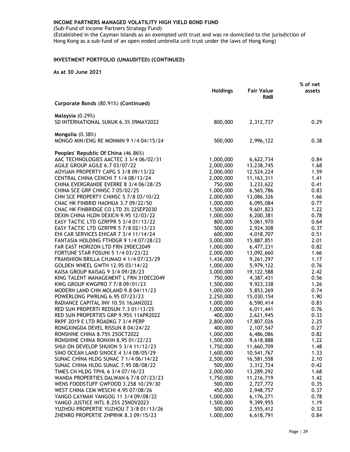(Sub-Fund of Income Partners Strategy Fund)

(Established in the Cayman Islands as an exempted unit trust and was re-domiciled to the jurisdiction of Hong Kong as a sub-fund of an open ended umbrella unit trust under the laws of Hong Kong)

# INVESTMENT PORTFOLIO (UNAUDITED) (CONTINUED)

|                                            |                      |                                 | % of net |
|--------------------------------------------|----------------------|---------------------------------|----------|
|                                            | <b>Holdings</b>      | <b>Fair Value</b><br><b>RMB</b> | assets   |
| Corporate Bonds (80.91%) (Continued)       |                      |                                 |          |
| <b>Malaysia</b> (0.29%)                    |                      |                                 |          |
| SD INTERNATIONAL SUKUK 6.3% 09MAY2022      | 800,000              | 2,312,737                       | 0.29     |
| Mongolia (0.38%)                           |                      |                                 |          |
| MONGO MIN/ENG RE MONMIN 9 1/4 04/15/24     | 500,000              | 2,996,122                       | 0.38     |
| Peoples' Republic Of China (46.86%)        |                      |                                 |          |
| AAC TECHNOLOGIES AACTEC 3 3/4 06/02/31     | 1,000,000            | 6,622,734                       | 0.84     |
| AGILE GROUP AGILE 6.7 03/07/22             | 2,000,000            | 13,238,745                      | 1.68     |
| AOYUAN PROPERTY CAPG 5 3/8 09/13/22        | 2,000,000            | 12,524,224                      | 1.59     |
| CENTRAL CHINA CENCHI 7 1/4 08/13/24        | 2,000,000            | 11, 163, 311                    | 1.41     |
| CHINA EVERGRANDE EVERRE 8 3/4 06/28/25     | 750,000              | 3,233,622                       | 0.41     |
| CHINA SCE GRP CHINSC 7 05/02/25            | 1,000,000            | 6,565,786                       | 0.83     |
| CHN SCE PROPERTY CHINSC 5 7/8 03/10/22     | 2,000,000            | 13,086,326                      | 1.66     |
| CNAC HK FINBRID HAOHUA 3.7 09/22/50        | 1,000,000            | 6,095,084                       | 0.77     |
| CNAC HK FINBRIDGE CO LTD 3% 22SEP2030      | 1,500,000            | 9,601,823                       | 1.22     |
| DEXIN CHINA HLDN DEXICN 9.95 12/03/22      | 1,000,000            | 6,200,381                       | 0.78     |
| EASY TACTIC LTD GZRFPR 5 3/4 01/13/22      | 800,000              | 5,061,970                       | 0.64     |
| EASY TACTIC LTD GZRFPR 5 7/8 02/13/23      | 500,000              | 2,924,308                       | 0.37     |
| EHI CAR SERVICES EHICAR 7 3/4 11/14/24     | 600,000              | 4,018,707                       | 0.51     |
| FANTASIA HOLDING FTHDGR 9 1/4 07/28/23     | 3,000,000            | 15,887,851                      | 2.01     |
| FAR EAST HORIZON LTD FRN 29DEC2049         | 1,000,000            | 6,477,231                       | 0.82     |
| FORTUNE STAR FOSUNI 5 1/4 03/23/22         | 2,000,000            | 13,092,660                      | 1.66     |
| FRANSHION BRILLA CHJMAO 4 1/4 07/23/29     | 1,436,000            | 9,261,297                       | 1.17     |
| GOLDEN WHEEL GWTH 12.95 03/14/22           | 1,000,000            | 5,979,122                       | 0.76     |
| KAISA GROUP KAISAG 9 3/4 09/28/23          | 3,000,000            | 19,122,588                      | 2.42     |
| KING TALENT MANAGEMENT L FRN 31DEC2049     | 750,000              | 4,387,431                       | 0.56     |
| KWG GROUP KWGPRO 7 7/8 09/01/23            | 1,500,000            | 9,923,338                       | 1.26     |
| MODERN LAND CHN MOLAND 9.8 04/11/23        | 1,000,000            | 5,853,269                       | 0.74     |
| POWERLONG PWRLNG 6.95 07/23/23             | 2,250,000            | 15,030,154                      | 1.90     |
| RADIANCE CAPITAL INV 10.5% 16JAN2022       | 1,000,000            | 6,590,414                       | 0.83     |
| RED SUN PROPERTI REDSUN 7.3 01/13/25       | 1,000,000            | 6,011,441                       | 0.76     |
| RED SUN PROPERTIES GRP 9.95% 11APR2022     | 400,000              | 2,621,945                       | 0.33     |
| RKPF 2019 E LTD ROADKG 7 3/4 PERP          | 2,800,000            | 17,807,026                      | 2.25     |
| RONGXINGDA DEVEL RISSUN 8 04/24/22         | 400,000              | 2, 107, 547                     | 0.27     |
| RONSHINE CHINA 8.75% 25OCT2022             | 1,000,000            | 6,486,086                       | 0.82     |
| <b>RONSHINE CHINA RONXIN 8.95 01/22/23</b> | 1,500,000            | 9,618,888                       | 1.22     |
| SHUI ON DEVELOP SHUION 5 3/4 11/12/23      | 1,750,000            | 11,660,709                      | 1.48     |
| SINO OCEAN LAND SINOCE 4 3/4 08/05/29      | 1,600,000            | 10,541,767                      | 1.33     |
| SUNAC CHINA HLDG SUNAC 7 1/4 06/14/22      | 2,500,000            | 16,581,558                      | 2.10     |
| SUNAC CHINA HLDG SUNAC 7.95 08/08/22       | 500,000              | 3,312,724                       | 0.42     |
| TIMES CN HLDG TPHL 6 3/4 07/16/23          | 2,000,000            | 13,289,292                      | 1.68     |
| WANDA PROPERTIES DALWAN 6 7/8 07/23/23     | 1,750,000            | 11,216,719                      | 1.42     |
| WENS FOODSTUFF GWFOOD 3.258 10/29/30       | 500,000              | 2,727,772                       | 0.35     |
| WEST CHINA CEM WESCHI 4.95 07/08/26        | 450,000              | 2,948,757                       | 0.37     |
| YANGO CAYMAN YANGOG 11 3/4 09/08/22        | 1,000,000            | 6,176,271                       | 0.78     |
| YANGO JUSTICE INTL 8.25% 25NOV2023         | 1,500,000<br>500,000 | 9,399,955                       | 1.19     |
| YUZHOU PROPERTIE YUZHOU 7 3/8 01/13/26     |                      | 2,555,412                       | 0.32     |
| ZHENRO PROPERTIE ZHPRHK 8.3 09/15/23       | 1,000,000            | 6,618,791                       | 0.84     |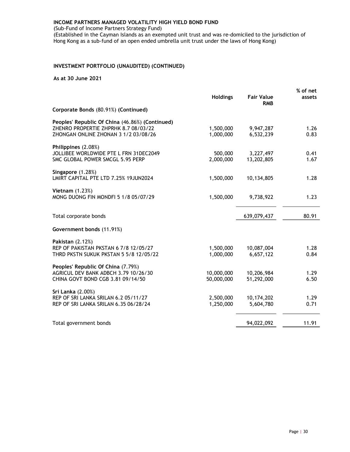(Sub-Fund of Income Partners Strategy Fund)

(Established in the Cayman Islands as an exempted unit trust and was re-domiciled to the jurisdiction of Hong Kong as a sub-fund of an open ended umbrella unit trust under the laws of Hong Kong)

# INVESTMENT PORTFOLIO (UNAUDITED) (CONTINUED)

|                                                                                                                                 | <b>Holdings</b>          | <b>Fair Value</b><br><b>RMB</b> | % of net<br>assets |
|---------------------------------------------------------------------------------------------------------------------------------|--------------------------|---------------------------------|--------------------|
| Corporate Bonds (80.91%) (Continued)                                                                                            |                          |                                 |                    |
| Peoples' Republic Of China (46.86%) (Continued)<br>ZHENRO PROPERTIE ZHPRHK 8.7 08/03/22<br>ZHONGAN ONLINE ZHONAN 3 1/2 03/08/26 | 1,500,000<br>1,000,000   | 9,947,287<br>6,532,239          | 1.26<br>0.83       |
| Philippines (2.08%)<br>JOLLIBEE WORLDWIDE PTE L FRN 31DEC2049<br>SMC GLOBAL POWER SMCGL 5.95 PERP                               | 500,000<br>2,000,000     | 3,227,497<br>13,202,805         | 0.41<br>1.67       |
| Singapore (1.28%)<br>LMIRT CAPITAL PTE LTD 7.25% 19JUN2024                                                                      | 1,500,000                | 10,134,805                      | 1.28               |
| <b>Vietnam</b> (1.23%)<br>MONG DUONG FIN MONDFI 5 1/8 05/07/29                                                                  | 1,500,000                | 9,738,922                       | 1.23               |
| Total corporate bonds                                                                                                           |                          | 639,079,437                     | 80.91              |
| Government bonds (11.91%)                                                                                                       |                          |                                 |                    |
| <b>Pakistan (2.12%)</b><br>REP OF PAKISTAN PKSTAN 6 7/8 12/05/27<br>THRD PKSTN SUKUK PKSTAN 5 5/8 12/05/22                      | 1,500,000<br>1,000,000   | 10,087,004<br>6,657,122         | 1.28<br>0.84       |
| Peoples' Republic Of China (7.79%)<br>AGRICUL DEV BANK ADBCH 3.79 10/26/30<br>CHINA GOVT BOND CGB 3.81 09/14/50                 | 10,000,000<br>50,000,000 | 10,206,984<br>51,292,000        | 1.29<br>6.50       |
| Sri Lanka (2.00%)<br>REP OF SRI LANKA SRILAN 6.2 05/11/27<br>REP OF SRI LANKA SRILAN 6.35 06/28/24                              | 2,500,000<br>1,250,000   | 10,174,202<br>5,604,780         | 1.29<br>0.71       |
| Total government bonds                                                                                                          |                          | 94,022,092                      | 11.91              |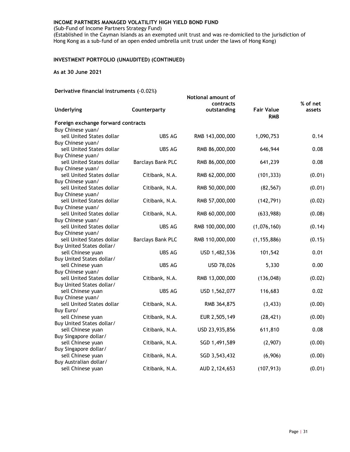(Sub-Fund of Income Partners Strategy Fund)

(Established in the Cayman Islands as an exempted unit trust and was re-domiciled to the jurisdiction of Hong Kong as a sub-fund of an open ended umbrella unit trust under the laws of Hong Kong)

# INVESTMENT PORTFOLIO (UNAUDITED) (CONTINUED)

As at 30 June 2021

# Derivative financial instruments (-0.02%)

| $P_{\text{c}}(1, 1, 0, 0, 0)$                  |                          | Notional amount of<br>contracts |                                 | % of net |
|------------------------------------------------|--------------------------|---------------------------------|---------------------------------|----------|
| <b>Underlying</b>                              | Counterparty             | outstanding                     | <b>Fair Value</b><br><b>RMB</b> | assets   |
| Foreign exchange forward contracts             |                          |                                 |                                 |          |
| Buy Chinese yuan/                              |                          |                                 |                                 |          |
| sell United States dollar                      | <b>UBS AG</b>            | RMB 143,000,000                 | 1,090,753                       | 0.14     |
| Buy Chinese yuan/                              |                          |                                 |                                 |          |
| sell United States dollar                      | <b>UBS AG</b>            | RMB 86,000,000                  | 646,944                         | 0.08     |
| Buy Chinese yuan/                              |                          |                                 |                                 | 0.08     |
| sell United States dollar<br>Buy Chinese yuan/ | <b>Barclays Bank PLC</b> | RMB 86,000,000                  | 641,239                         |          |
| sell United States dollar                      | Citibank, N.A.           | RMB 62,000,000                  | (101, 333)                      | (0.01)   |
| Buy Chinese yuan/                              |                          |                                 |                                 |          |
| sell United States dollar                      | Citibank, N.A.           | RMB 50,000,000                  | (82, 567)                       | (0.01)   |
| Buy Chinese yuan/                              |                          |                                 |                                 |          |
| sell United States dollar                      | Citibank, N.A.           | RMB 57,000,000                  | (142, 791)                      | (0.02)   |
| Buy Chinese yuan/                              |                          |                                 |                                 |          |
| sell United States dollar                      | Citibank, N.A.           | RMB 60,000,000                  | (633,988)                       | (0.08)   |
| Buy Chinese yuan/                              |                          |                                 |                                 |          |
| sell United States dollar                      | <b>UBS AG</b>            | RMB 100,000,000                 | (1,076,160)                     | (0.14)   |
| Buy Chinese yuan/                              |                          |                                 |                                 |          |
| sell United States dollar                      | <b>Barclays Bank PLC</b> | RMB 110,000,000                 | (1, 155, 886)                   | (0.15)   |
| Buy United States dollar/                      | <b>UBS AG</b>            |                                 |                                 |          |
| sell Chinese yuan<br>Buy United States dollar/ |                          | USD 1,482,536                   | 101,542                         | 0.01     |
| sell Chinese yuan                              | <b>UBS AG</b>            | USD 78,026                      | 5,330                           | 0.00     |
| Buy Chinese yuan/                              |                          |                                 |                                 |          |
| sell United States dollar                      | Citibank, N.A.           | RMB 13,000,000                  | (136, 048)                      | (0.02)   |
| Buy United States dollar/                      |                          |                                 |                                 |          |
| sell Chinese yuan                              | UBS AG                   | USD 1,562,077                   | 116,683                         | 0.02     |
| Buy Chinese yuan/                              |                          |                                 |                                 |          |
| sell United States dollar                      | Citibank, N.A.           | RMB 364,875                     | (3, 433)                        | (0.00)   |
| Buy Euro/                                      |                          |                                 |                                 |          |
| sell Chinese yuan                              | Citibank, N.A.           | EUR 2,505,149                   | (28, 421)                       | (0.00)   |
| Buy United States dollar/                      |                          |                                 |                                 |          |
| sell Chinese yuan                              | Citibank, N.A.           | USD 23,935,856                  | 611,810                         | 0.08     |
| Buy Singapore dollar/                          |                          |                                 |                                 |          |
| sell Chinese yuan                              | Citibank, N.A.           | SGD 1,491,589                   | (2,907)                         | (0.00)   |
| Buy Singapore dollar/                          |                          |                                 |                                 |          |
| sell Chinese yuan<br>Buy Australian dollar/    | Citibank, N.A.           | SGD 3,543,432                   | (6,906)                         | (0.00)   |
| sell Chinese yuan                              | Citibank, N.A.           | AUD 2,124,653                   | (107, 913)                      | (0.01)   |
|                                                |                          |                                 |                                 |          |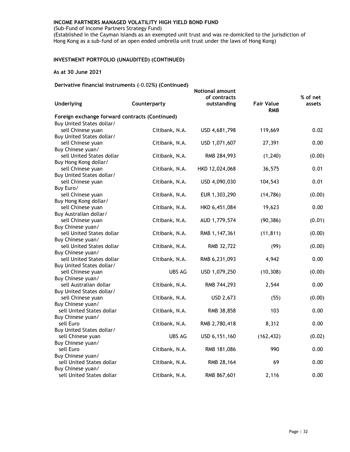(Sub-Fund of Income Partners Strategy Fund)

(Established in the Cayman Islands as an exempted unit trust and was re-domiciled to the jurisdiction of Hong Kong as a sub-fund of an open ended umbrella unit trust under the laws of Hong Kong)

# INVESTMENT PORTFOLIO (UNAUDITED) (CONTINUED)

# As at 30 June 2021

Derivative financial instruments (-0.02%) (Continued)

| <b>Underlying</b>                              | Counterparty   | <b>Notional amount</b><br>of contracts<br>outstanding | <b>Fair Value</b> | % of net<br>assets |
|------------------------------------------------|----------------|-------------------------------------------------------|-------------------|--------------------|
| Foreign exchange forward contracts (Continued) |                |                                                       | <b>RMB</b>        |                    |
| Buy United States dollar/                      |                |                                                       |                   |                    |
| sell Chinese yuan                              | Citibank, N.A. | USD 4,681,798                                         | 119,669           | 0.02               |
| Buy United States dollar/                      |                |                                                       |                   |                    |
| sell Chinese yuan                              | Citibank, N.A. | USD 1,071,607                                         | 27,391            | 0.00               |
| Buy Chinese yuan/                              |                |                                                       |                   |                    |
| sell United States dollar                      | Citibank, N.A. | RMB 284,993                                           | (1, 240)          | (0.00)             |
| Buy Hong Kong dollar/                          |                |                                                       |                   |                    |
| sell Chinese yuan                              | Citibank, N.A. | HKD 12,024,068                                        | 36,575            | 0.01               |
| Buy United States dollar/                      |                |                                                       |                   |                    |
| sell Chinese yuan                              | Citibank, N.A. | USD 4,090,030                                         | 104,543           | 0.01               |
| Buy Euro/                                      |                |                                                       |                   |                    |
| sell Chinese yuan                              | Citibank, N.A. | EUR 1,303,290                                         | (14, 786)         | (0.00)             |
| Buy Hong Kong dollar/                          |                |                                                       |                   |                    |
| sell Chinese yuan                              | Citibank, N.A. | HKD 6,451,084                                         | 19,623            | 0.00               |
| Buy Australian dollar/<br>sell Chinese yuan    |                |                                                       |                   |                    |
| Buy Chinese yuan/                              | Citibank, N.A. | AUD 1,779,574                                         | (90, 386)         | (0.01)             |
| sell United States dollar                      | Citibank, N.A. | RMB 1,147,361                                         | (11, 811)         | (0.00)             |
| Buy Chinese yuan/                              |                |                                                       |                   |                    |
| sell United States dollar                      | Citibank, N.A. | RMB 32,722                                            | (99)              | (0.00)             |
| Buy Chinese yuan/                              |                |                                                       |                   |                    |
| sell United States dollar                      | Citibank, N.A. | RMB 6,231,093                                         | 4,942             | 0.00               |
| Buy United States dollar/                      |                |                                                       |                   |                    |
| sell Chinese yuan                              | UBS AG         | USD 1,079,250                                         | (10, 308)         | (0.00)             |
| Buy Chinese yuan/                              |                |                                                       |                   |                    |
| sell Australian dollar                         | Citibank, N.A. | RMB 744,293                                           | 2,544             | 0.00               |
| Buy United States dollar/                      |                |                                                       |                   |                    |
| sell Chinese yuan                              | Citibank, N.A. | USD 2,673                                             | (55)              | (0.00)             |
| Buy Chinese yuan/                              |                |                                                       |                   |                    |
| sell United States dollar                      | Citibank, N.A. | RMB 38,858                                            | 103               | 0.00               |
| Buy Chinese yuan/                              |                |                                                       |                   |                    |
| sell Euro                                      | Citibank, N.A. | RMB 2,780,418                                         | 8,312             | 0.00               |
| Buy United States dollar/                      |                |                                                       |                   |                    |
| sell Chinese yuan                              | UBS AG         | USD 6,151,160                                         | (162, 432)        | (0.02)             |
| Buy Chinese yuan/                              |                |                                                       |                   |                    |
| sell Euro                                      | Citibank, N.A. | RMB 181,086                                           | 990               | 0.00               |
| Buy Chinese yuan/<br>sell United States dollar |                |                                                       | 69                | 0.00               |
| Buy Chinese yuan/                              | Citibank, N.A. | RMB 28,164                                            |                   |                    |
| sell United States dollar                      | Citibank, N.A. | RMB 867,601                                           | 2,116             | 0.00               |
|                                                |                |                                                       |                   |                    |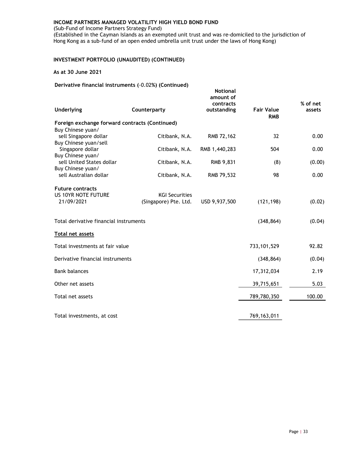(Sub-Fund of Income Partners Strategy Fund)

(Established in the Cayman Islands as an exempted unit trust and was re-domiciled to the jurisdiction of Hong Kong as a sub-fund of an open ended umbrella unit trust under the laws of Hong Kong)

# INVESTMENT PORTFOLIO (UNAUDITED) (CONTINUED)

# As at 30 June 2021

Derivative financial instruments (-0.02%) (Continued)

| <b>Underlying</b>                                     | Counterparty                                   | <b>Notional</b><br>amount of<br>contracts<br>outstanding | <b>Fair Value</b><br><b>RMB</b> | % of net<br>assets |
|-------------------------------------------------------|------------------------------------------------|----------------------------------------------------------|---------------------------------|--------------------|
| Foreign exchange forward contracts (Continued)        |                                                |                                                          |                                 |                    |
| Buy Chinese yuan/                                     |                                                |                                                          |                                 |                    |
| sell Singapore dollar                                 | Citibank, N.A.                                 | RMB 72,162                                               | 32                              | 0.00               |
| Buy Chinese yuan/sell<br>Singapore dollar             | Citibank, N.A.                                 |                                                          | 504                             | 0.00               |
| Buy Chinese yuan/                                     |                                                | RMB 1,440,283                                            |                                 |                    |
| sell United States dollar                             | Citibank, N.A.                                 | RMB 9,831                                                | (8)                             | (0.00)             |
| Buy Chinese yuan/                                     |                                                |                                                          |                                 |                    |
| sell Australian dollar                                | Citibank, N.A.                                 | RMB 79,532                                               | 98                              | 0.00               |
|                                                       |                                                |                                                          |                                 |                    |
| <b>Future contracts</b><br><b>US 10YR NOTE FUTURE</b> |                                                |                                                          |                                 |                    |
| 21/09/2021                                            | <b>KGI Securities</b><br>(Singapore) Pte. Ltd. | USD 9,937,500                                            | (121, 198)                      | (0.02)             |
|                                                       |                                                |                                                          |                                 |                    |
| Total derivative financial instruments                |                                                |                                                          | (348, 864)                      | (0.04)             |
| Total net assets                                      |                                                |                                                          |                                 |                    |
| Total investments at fair value                       |                                                |                                                          | 733, 101, 529                   | 92.82              |
| Derivative financial instruments                      |                                                |                                                          | (348, 864)                      | (0.04)             |
| <b>Bank balances</b>                                  |                                                |                                                          | 17,312,034                      | 2.19               |
| Other net assets                                      |                                                |                                                          | 39,715,651                      | 5.03               |
| Total net assets                                      |                                                |                                                          | 789,780,350                     | 100.00             |
| Total investments, at cost                            |                                                |                                                          | 769,163,011                     |                    |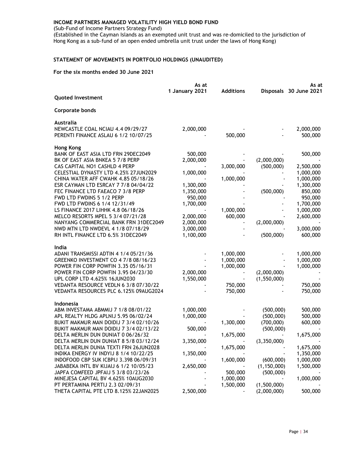(Sub-Fund of Income Partners Strategy Fund)

(Established in the Cayman Islands as an exempted unit trust and was re-domiciled to the jurisdiction of Hong Kong as a sub-fund of an open ended umbrella unit trust under the laws of Hong Kong)

# STATEMENT OF MOVEMENTS IN PORTFOLIO HOLDINGS (UNAUDITED)

|                                               | As at          |                  | As at         |                        |
|-----------------------------------------------|----------------|------------------|---------------|------------------------|
|                                               | 1 January 2021 | <b>Additions</b> |               | Disposals 30 June 2021 |
| <b>Quoted Investment</b>                      |                |                  |               |                        |
| <b>Corporate bonds</b>                        |                |                  |               |                        |
| Australia                                     |                |                  |               |                        |
| NEWCASTLE COAL NCIAU 4.4 09/29/27             | 2,000,000      |                  |               | 2,000,000              |
| PERENTI FINANCE ASLAU 6 1/2 10/07/25          |                | 500,000          |               | 500,000                |
| Hong Kong                                     |                |                  |               |                        |
| BANK OF EAST ASIA LTD FRN 29DEC2049           | 500,000        |                  |               | 500,000                |
| BK OF EAST ASIA BNKEA 5 7/8 PERP              | 2,000,000      |                  | (2,000,000)   |                        |
| CAS CAPITAL NO1 CASHLD 4 PERP                 |                | 3,000,000        | (500,000)     | 2,500,000              |
| CELESTIAL DYNASTY LTD 4.25% 27JUN2029         | 1,000,000      |                  |               | 1,000,000              |
| CHINA WATER AFF CWAHK 4.85 05/18/26           |                | 1,000,000        |               | 1,000,000              |
| ESR CAYMAN LTD ESRCAY 7 7/8 04/04/22          | 1,300,000      |                  |               | 1,300,000              |
| FEC FINANCE LTD FAEACO 7 3/8 PERP             | 1,350,000      |                  | (500,000)     | 850,000                |
| FWD LTD FWDINS 5 1/2 PERP                     | 950,000        |                  |               | 950,000                |
| FWD LTD FWDINS 6 1/4 12/31/49                 | 1,700,000      |                  |               | 1,700,000              |
| LS FINANCE 2017 LIHHK 4.8 06/18/26            |                | 1,000,000        |               | 1,000,000              |
| MELCO RESORTS MPEL 5 3/4 07/21/28             | 2,000,000      | 600,000          |               | 2,600,000              |
| NANYANG COMMERCIAL BANK FRN 31DEC2049         | 2,000,000      |                  | (2,000,000)   |                        |
| NWD MTN LTD NWDEVL 4 1/8 07/18/29             | 3,000,000      |                  |               | 3,000,000              |
| RH INTL FINANCE LTD 6.5% 31DEC2049            | 1,100,000      |                  | (500,000)     | 600,000                |
| India                                         |                |                  |               |                        |
| ADANI TRANSMISSI ADTIN 4 1/4 05/21/36         |                | 1,000,000        |               | 1,000,000              |
| GREENKO INVESTMENT CO 4 7/8 08/16/23          |                | 1,000,000        |               | 1,000,000              |
| POWER FIN CORP POWFIN 3.35 05/16/31           |                | 1,000,000        |               | 1,000,000              |
| POWER FIN CORP POWFIN 3.95 04/23/30           | 2,000,000      |                  | (2,000,000)   |                        |
| UPL CORP LTD 4.625% 16JUN2030                 | 1,550,000      |                  | (1,550,000)   |                        |
| VEDANTA RESOURCE VEDLN 6 3/8 07/30/22         |                | 750,000          |               | 750,000                |
| VEDANTA RESOURCES PLC 6.125% 09AUG2024        |                | 750,000          |               | 750,000                |
| <b>Indonesia</b>                              |                |                  |               |                        |
| ABM INVESTAMA ABMMIJ 7 1/8 08/01/22           | 1,000,000      |                  | (500,000)     | 500,000                |
| APL REALTY HLDG APLNIJ 5.95 06/02/24          | 1,000,000      |                  | (500,000)     | 500,000                |
| BUKIT MAKMUR MAN DOIDIJ 7 3/4 02/10/26        |                | 1,300,000        | (700,000)     | 600,000                |
| BUKIT MAKMUR MAN DOIDIJ 7 3/4 02/13/22        | 500,000        |                  | (500,000)     |                        |
| DELTA MERLIN DUN DUNIAT 0 06/26/32            |                | 1,675,000        |               | 1,675,000              |
| DELTA MERLIN DUN DUNIAT 8 5/8 03/12/24        | 3,350,000      |                  | (3,350,000)   |                        |
| DELTA MERLIN DUNIA TEXTI FRN 26JUN2028        |                | 1,675,000        |               | 1,675,000              |
| <b>INDIKA ENERGY IV INDYIJ 8 1/4 10/22/25</b> | 1,350,000      |                  |               | 1,350,000              |
| INDOFOOD CBP SUK ICBPIJ 3.398 06/09/31        |                | 1,600,000        | (600,000)     | 1,000,000              |
| JABABEKA INTL BV KIJAIJ 6 1/2 10/05/23        | 2,650,000      |                  | (1, 150, 000) | 1,500,000              |
| JAPFA COMFEED JPFAIJ 5 3/8 03/23/26           |                | 500,000          | (500,000)     |                        |
| MINEJESA CAPITAL BV 4.625% 10AUG2030          |                | 1,000,000        |               | 1,000,000              |
| PT PERTAMINA PERTIJ 2.3 02/09/31              |                | 1,500,000        | (1,500,000)   |                        |
| THETA CAPITAL PTE LTD 8.125% 22JAN2025        | 2,500,000      |                  | (2,000,000)   | 500,000                |
|                                               |                |                  |               |                        |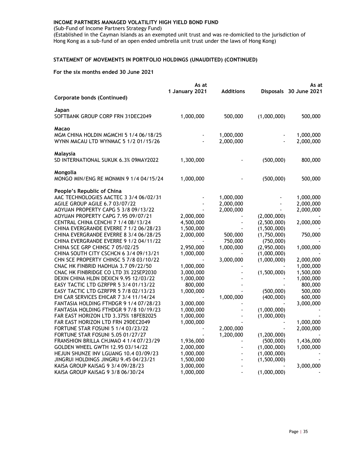(Sub-Fund of Income Partners Strategy Fund)

(Established in the Cayman Islands as an exempted unit trust and was re-domiciled to the jurisdiction of Hong Kong as a sub-fund of an open ended umbrella unit trust under the laws of Hong Kong)

# STATEMENT OF MOVEMENTS IN PORTFOLIO HOLDINGS (UNAUDITED) (CONTINUED)

|                                                                                 | As at                  |                  | As at         |                        |  |
|---------------------------------------------------------------------------------|------------------------|------------------|---------------|------------------------|--|
|                                                                                 | 1 January 2021         | <b>Additions</b> |               | Disposals 30 June 2021 |  |
| <b>Corporate bonds (Continued)</b>                                              |                        |                  |               |                        |  |
| Japan<br>SOFTBANK GROUP CORP FRN 31DEC2049                                      | 1,000,000              | 500,000          | (1,000,000)   | 500,000                |  |
|                                                                                 |                        |                  |               |                        |  |
| Macao                                                                           |                        |                  |               |                        |  |
| MGM CHINA HOLDIN MGMCHI 5 1/4 06/18/25                                          |                        | 1,000,000        |               | 1,000,000              |  |
| WYNN MACAU LTD WYNMAC 5 1/2 01/15/26                                            |                        | 2,000,000        |               | 2,000,000              |  |
| Malaysia                                                                        |                        |                  |               |                        |  |
| SD INTERNATIONAL SUKUK 6.3% 09MAY2022                                           | 1,300,000              |                  | (500,000)     | 800,000                |  |
| Mongolia                                                                        |                        |                  |               |                        |  |
| MONGO MIN/ENG RE MONMIN 9 1/4 04/15/24                                          | 1,000,000              |                  | (500,000)     | 500,000                |  |
| People's Republic of China                                                      |                        |                  |               |                        |  |
| AAC TECHNOLOGIES AACTEC 3 3/4 06/02/31                                          |                        | 1,000,000        |               | 1,000,000              |  |
| AGILE GROUP AGILE 6.7 03/07/22                                                  |                        | 2,000,000        |               | 2,000,000              |  |
| AOYUAN PROPERTY CAPG 5 3/8 09/13/22                                             |                        | 2,000,000        |               | 2,000,000              |  |
| AOYUAN PROPERTY CAPG 7.95 09/07/21                                              | 2,000,000              |                  | (2,000,000)   |                        |  |
| CENTRAL CHINA CENCHI 7 1/4 08/13/24                                             | 4,500,000              |                  | (2,500,000)   | 2,000,000              |  |
| CHINA EVERGRANDE EVERRE 7 1/2 06/28/23                                          | 1,500,000              |                  | (1,500,000)   |                        |  |
| CHINA EVERGRANDE EVERRE 8 3/4 06/28/25                                          | 2,000,000              | 500,000          | (1,750,000)   | 750,000                |  |
| CHINA EVERGRANDE EVERRE 9 1/2 04/11/22                                          |                        | 750,000          | (750,000)     |                        |  |
| <b>CHINA SCE GRP CHINSC 7 05/02/25</b>                                          | 2,950,000              | 1,000,000        | (2,950,000)   | 1,000,000              |  |
| CHINA SOUTH CITY CSCHCN 6 3/4 09/13/21                                          | 1,000,000              |                  | (1,000,000)   |                        |  |
| CHN SCE PROPERTY CHINSC 5 7/8 03/10/22                                          |                        | 3,000,000        | (1,000,000)   | 2,000,000              |  |
| CNAC HK FINBRID HAOHUA 3.7 09/22/50                                             | 1,000,000              |                  |               | 1,000,000              |  |
| CNAC HK FINBRIDGE CO LTD 3% 22SEP2030                                           | 3,000,000              |                  | (1,500,000)   | 1,500,000              |  |
| DEXIN CHINA HLDN DEXICN 9.95 12/03/22                                           | 1,000,000              |                  |               | 1,000,000              |  |
| EASY TACTIC LTD GZRFPR 5 3/4 01/13/22                                           | 800,000                |                  |               | 800,000                |  |
| EASY TACTIC LTD GZRFPR 5 7/8 02/13/23                                           | 1,000,000              |                  | (500,000)     | 500,000                |  |
| EHI CAR SERVICES EHICAR 7 3/4 11/14/24                                          |                        | 1,000,000        | (400,000)     | 600,000                |  |
| FANTASIA HOLDING FTHDGR 9 1/4 07/28/23                                          | 3,000,000              |                  | (1,000,000)   | 3,000,000              |  |
| FANTASIA HOLDING FTHDGR 9 7/8 10/19/23<br>FAR EAST HORIZON LTD 3.375% 18FEB2025 | 1,000,000<br>1,000,000 |                  | (1,000,000)   |                        |  |
| FAR EAST HORIZON LTD FRN 29DEC2049                                              | 1,000,000              |                  |               |                        |  |
| FORTUNE STAR FOSUNI 5 1/4 03/23/22                                              |                        | 2,000,000        |               | 1,000,000<br>2,000,000 |  |
| FORTUNE STAR FOSUNI 5.05 01/27/27                                               |                        | 1,200,000        | (1, 200, 000) |                        |  |
| FRANSHION BRILLA CHJMAO 4 1/4 07/23/29                                          | 1,936,000              |                  | (500,000)     | 1,436,000              |  |
| GOLDEN WHEEL GWTH 12.95 03/14/22                                                | 2,000,000              |                  | (1,000,000)   | 1,000,000              |  |
| HEJUN SHUNZE INV LGUANG 10.4 03/09/23                                           | 1,000,000              |                  | (1,000,000)   |                        |  |
| JINGRUI HOLDINGS JINGRU 9.45 04/23/21                                           | 1,500,000              |                  | (1,500,000)   |                        |  |
| KAISA GROUP KAISAG 9 3/4 09/28/23                                               | 3,000,000              |                  |               | 3,000,000              |  |
| KAISA GROUP KAISAG 9 3/8 06/30/24                                               | 1,000,000              |                  | (1,000,000)   |                        |  |
|                                                                                 |                        |                  |               |                        |  |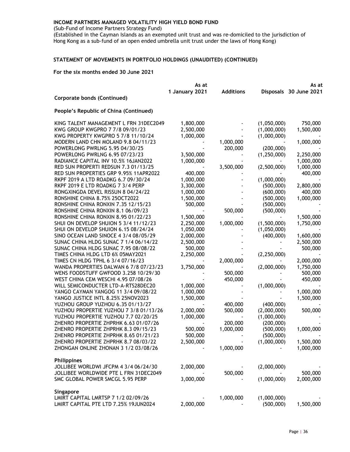(Sub-Fund of Income Partners Strategy Fund)

(Established in the Cayman Islands as an exempted unit trust and was re-domiciled to the jurisdiction of Hong Kong as a sub-fund of an open ended umbrella unit trust under the laws of Hong Kong)

# STATEMENT OF MOVEMENTS IN PORTFOLIO HOLDINGS (UNAUDITED) (CONTINUED)

|                                            | As at          |                  |               | As at                  |  |
|--------------------------------------------|----------------|------------------|---------------|------------------------|--|
|                                            | 1 January 2021 | <b>Additions</b> |               | Disposals 30 June 2021 |  |
| <b>Corporate bonds (Continued)</b>         |                |                  |               |                        |  |
| People's Republic of China (Continued)     |                |                  |               |                        |  |
| KING TALENT MANAGEMENT L FRN 31DEC2049     | 1,800,000      |                  | (1,050,000)   | 750,000                |  |
| KWG GROUP KWGPRO 7 7/8 09/01/23            | 2,500,000      |                  | (1,000,000)   | 1,500,000              |  |
| KWG PROPERTY KWGPRO 5 7/8 11/10/24         | 1,000,000      |                  | (1,000,000)   |                        |  |
| MODERN LAND CHN MOLAND 9.8 04/11/23        |                | 1,000,000        |               | 1,000,000              |  |
| POWERLONG PWRLNG 5.95 04/30/25             |                | 200,000          | (200,000)     |                        |  |
| POWERLONG PWRLNG 6.95 07/23/23             | 3,500,000      |                  | (1, 250, 000) | 2,250,000              |  |
| RADIANCE CAPITAL INV 10.5% 16JAN2022       | 1,000,000      |                  |               | 1,000,000              |  |
| RED SUN PROPERTI REDSUN 7.3 01/13/25       |                | 3,500,000        | (2,500,000)   | 1,000,000              |  |
| RED SUN PROPERTIES GRP 9.95% 11APR2022     | 400,000        |                  |               | 400,000                |  |
| RKPF 2019 A LTD ROADKG 6.7 09/30/24        | 1,000,000      |                  | (1,000,000)   |                        |  |
| RKPF 2019 E LTD ROADKG 7 3/4 PERP          | 3,300,000      |                  | (500,000)     | 2,800,000              |  |
| RONGXINGDA DEVEL RISSUN 8 04/24/22         | 1,000,000      |                  | (600,000)     | 400,000                |  |
| RONSHINE CHINA 8.75% 25OCT2022             | 1,500,000      |                  | (500,000)     | 1,000,000              |  |
| RONSHINE CHINA RONXIN 7.35 12/15/23        | 500,000        |                  | (500,000)     |                        |  |
| RONSHINE CHINA RONXIN 8.1 06/09/23         |                | 500,000          | (500,000)     |                        |  |
|                                            | 1,500,000      |                  |               |                        |  |
| <b>RONSHINE CHINA RONXIN 8.95 01/22/23</b> |                |                  |               | 1,500,000              |  |
| SHUI ON DEVELOP SHUION 5 3/4 11/12/23      | 2,250,000      | 1,000,000        | (1,500,000)   | 1,750,000              |  |
| SHUI ON DEVELOP SHUION 6.15 08/24/24       | 1,050,000      |                  | (1,050,000)   |                        |  |
| SINO OCEAN LAND SINOCE 4 3/4 08/05/29      | 2,000,000      |                  | (400,000)     | 1,600,000              |  |
| SUNAC CHINA HLDG SUNAC 7 1/4 06/14/22      | 2,500,000      |                  |               | 2,500,000              |  |
| SUNAC CHINA HLDG SUNAC 7.95 08/08/22       | 500,000        |                  |               | 500,000                |  |
| TIMES CHINA HLDG LTD 6% 05MAY2021          | 2,250,000      |                  | (2, 250, 000) |                        |  |
| TIMES CN HLDG TPHL 6 3/4 07/16/23          |                | 2,000,000        |               | 2,000,000              |  |
| WANDA PROPERTIES DALWAN 6 7/8 07/23/23     | 3,750,000      |                  | (2,000,000)   | 1,750,000              |  |
| WENS FOODSTUFF GWFOOD 3.258 10/29/30       |                | 500,000          |               | 500,000                |  |
| WEST CHINA CEM WESCHI 4.95 07/08/26        |                | 450,000          |               | 450,000                |  |
| WILL SEMICONDUCTER LTD-A-RTS28DEC20        | 1,000,000      |                  | (1,000,000)   |                        |  |
| YANGO CAYMAN YANGOG 11 3/4 09/08/22        | 1,000,000      |                  |               | 1,000,000              |  |
| YANGO JUSTICE INTL 8.25% 25NOV2023         | 1,500,000      |                  |               | 1,500,000              |  |
| YUZHOU GROUP YUZHOU 6.35 01/13/27          |                | 400,000          | (400,000)     |                        |  |
| YUZHOU PROPERTIE YUZHOU 7 3/8 01/13/26     | 2,000,000      | 500,000          | (2,000,000)   | 500,000                |  |
| YUZHOU PROPERTIE YUZHOU 7.7 02/20/25       | 1,000,000      |                  | (1,000,000)   |                        |  |
| ZHENRO PROPERTIE ZHPRHK 6.63 01/07/26      |                | 200,000          | (200,000)     |                        |  |
| ZHENRO PROPERTIE ZHPRHK 8.3 09/15/23       | 500,000        | 1,000,000        | (500,000)     | 1,000,000              |  |
| ZHENRO PROPERTIE ZHPRHK 8.65 01/21/23      | 500,000        |                  | (500,000)     |                        |  |
| ZHENRO PROPERTIE ZHPRHK 8.7 08/03/22       | 2,500,000      |                  | (1,000,000)   | 1,500,000              |  |
| ZHONGAN ONLINE ZHONAN 3 1/2 03/08/26       |                | 1,000,000        |               | 1,000,000              |  |
|                                            |                |                  |               |                        |  |
| Philippines                                |                |                  |               |                        |  |
| JOLLIBEE WORLDWI JFCPM 4 3/4 06/24/30      | 2,000,000      |                  | (2,000,000)   |                        |  |
| JOLLIBEE WORLDWIDE PTE L FRN 31DEC2049     |                | 500,000          |               | 500,000                |  |
| SMC GLOBAL POWER SMCGL 5.95 PERP           | 3,000,000      |                  | (1,000,000)   | 2,000,000              |  |
|                                            |                |                  |               |                        |  |
| Singapore                                  |                |                  |               |                        |  |
| LMIRT CAPITAL LMRTSP 7 1/2 02/09/26        |                | 1,000,000        | (1,000,000)   |                        |  |
| LMIRT CAPITAL PTE LTD 7.25% 19JUN2024      | 2,000,000      |                  | (500,000)     | 1,500,000              |  |
|                                            |                |                  |               |                        |  |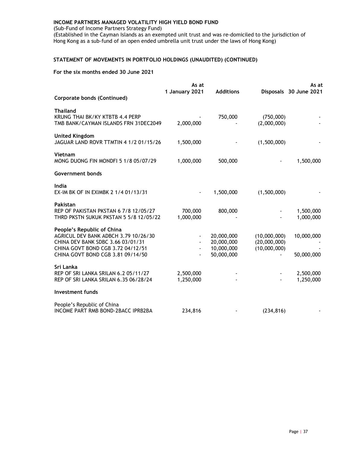(Sub-Fund of Income Partners Strategy Fund)

(Established in the Cayman Islands as an exempted unit trust and was re-domiciled to the jurisdiction of Hong Kong as a sub-fund of an open ended umbrella unit trust under the laws of Hong Kong)

# STATEMENT OF MOVEMENTS IN PORTFOLIO HOLDINGS (UNAUDITED) (CONTINUED)

|                                                                                                                                                                                   | As at<br>1 January 2021 | <b>Additions</b>                                     |                                              | As at<br>Disposals 30 June 2021 |
|-----------------------------------------------------------------------------------------------------------------------------------------------------------------------------------|-------------------------|------------------------------------------------------|----------------------------------------------|---------------------------------|
| Corporate bonds (Continued)                                                                                                                                                       |                         |                                                      |                                              |                                 |
| <b>Thailand</b><br>KRUNG THAI BK/KY KTBTB 4.4 PERP<br>TMB BANK/CAYMAN ISLANDS FRN 31DEC2049                                                                                       | 2,000,000               | 750,000                                              | (750,000)<br>(2,000,000)                     |                                 |
| <b>United Kingdom</b><br>JAGUAR LAND ROVR TTMTIN 4 1/2 01/15/26                                                                                                                   | 1,500,000               |                                                      | (1,500,000)                                  |                                 |
| Vietnam<br>MONG DUONG FIN MONDFI 5 1/8 05/07/29                                                                                                                                   | 1,000,000               | 500,000                                              |                                              | 1,500,000                       |
| Government bonds                                                                                                                                                                  |                         |                                                      |                                              |                                 |
| India<br>EX-IM BK OF IN EXIMBK 2 1/4 01/13/31                                                                                                                                     |                         | 1,500,000                                            | (1,500,000)                                  |                                 |
| <b>Pakistan</b><br>REP OF PAKISTAN PKSTAN 6 7/8 12/05/27<br>THRD PKSTN SUKUK PKSTAN 5 5/8 12/05/22                                                                                | 700,000<br>1,000,000    | 800,000                                              |                                              | 1,500,000<br>1,000,000          |
| People's Republic of China<br>AGRICUL DEV BANK ADBCH 3.79 10/26/30<br>CHINA DEV BANK SDBC 3.66 03/01/31<br>CHINA GOVT BOND CGB 3.72 04/12/51<br>CHINA GOVT BOND CGB 3.81 09/14/50 |                         | 20,000,000<br>20,000,000<br>10,000,000<br>50,000,000 | (10,000,000)<br>(20,000,000)<br>(10,000,000) | 10,000,000<br>50,000,000        |
| Sri Lanka<br>REP OF SRI LANKA SRILAN 6.2 05/11/27<br>REP OF SRI LANKA SRILAN 6.35 06/28/24                                                                                        | 2,500,000<br>1,250,000  |                                                      |                                              | 2,500,000<br>1,250,000          |
| <b>Investment funds</b>                                                                                                                                                           |                         |                                                      |                                              |                                 |
| People's Republic of China<br>INCOME PART RMB BOND-2BACC IPRB2BA                                                                                                                  | 234,816                 |                                                      | (234, 816)                                   |                                 |